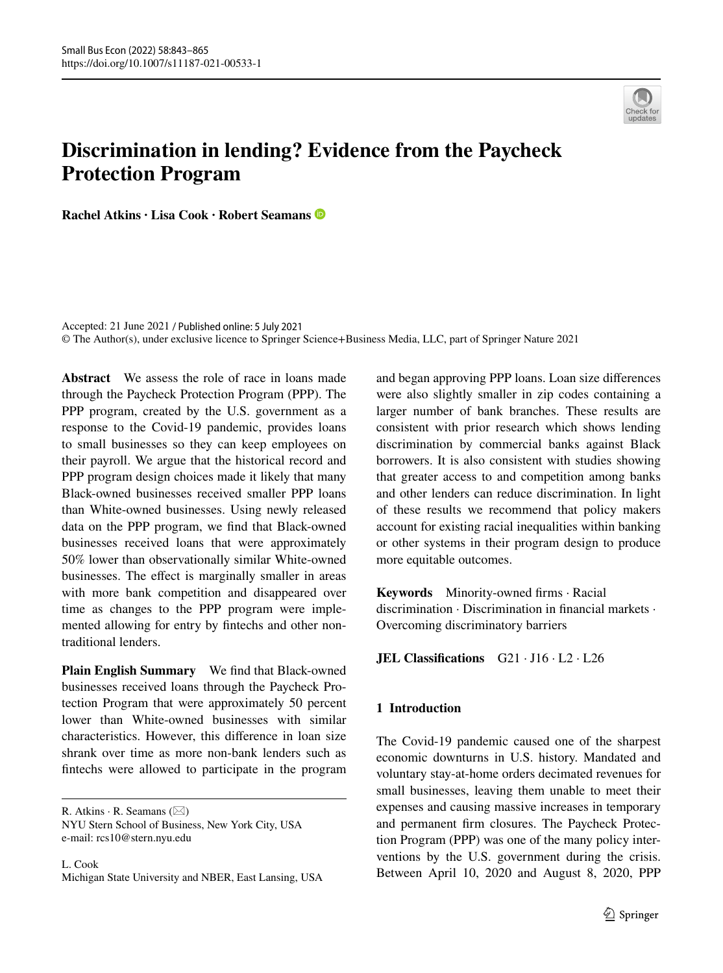

# **Discrimination in lending? Evidence from the Paycheck Protection Program**

**Rachel Atkins · Lisa Cook · Robert Seamans**

Accepted: 21 June 2021 / Published online: 5 July 2021 © The Author(s), under exclusive licence to Springer Science+Business Media, LLC, part of Springer Nature 2021

**Abstract** We assess the role of race in loans made through the Paycheck Protection Program (PPP). The PPP program, created by the U.S. government as a response to the Covid-19 pandemic, provides loans to small businesses so they can keep employees on their payroll. We argue that the historical record and PPP program design choices made it likely that many Black-owned businesses received smaller PPP loans than White-owned businesses. Using newly released data on the PPP program, we fnd that Black-owned businesses received loans that were approximately 50% lower than observationally similar White-owned businesses. The efect is marginally smaller in areas with more bank competition and disappeared over time as changes to the PPP program were implemented allowing for entry by fntechs and other nontraditional lenders.

**Plain English Summary** We fnd that Black-owned businesses received loans through the Paycheck Protection Program that were approximately 50 percent lower than White-owned businesses with similar characteristics. However, this diference in loan size shrank over time as more non-bank lenders such as fntechs were allowed to participate in the program

R. Atkins  $\cdot$  R. Seamans ( $\boxtimes$ )

NYU Stern School of Business, New York City, USA e-mail: rcs10@stern.nyu.edu

L. Cook Michigan State University and NBER, East Lansing, USA and began approving PPP loans. Loan size diferences were also slightly smaller in zip codes containing a larger number of bank branches. These results are consistent with prior research which shows lending discrimination by commercial banks against Black borrowers. It is also consistent with studies showing that greater access to and competition among banks and other lenders can reduce discrimination. In light of these results we recommend that policy makers account for existing racial inequalities within banking or other systems in their program design to produce more equitable outcomes.

**Keywords** Minority-owned frms · Racial discrimination · Discrimination in fnancial markets · Overcoming discriminatory barriers

**JEL Classifcations** G21 · J16 · L2 · L26

# **1 Introduction**

The Covid-19 pandemic caused one of the sharpest economic downturns in U.S. history. Mandated and voluntary stay-at-home orders decimated revenues for small businesses, leaving them unable to meet their expenses and causing massive increases in temporary and permanent frm closures. The Paycheck Protection Program (PPP) was one of the many policy interventions by the U.S. government during the crisis. Between April 10, 2020 and August 8, 2020, PPP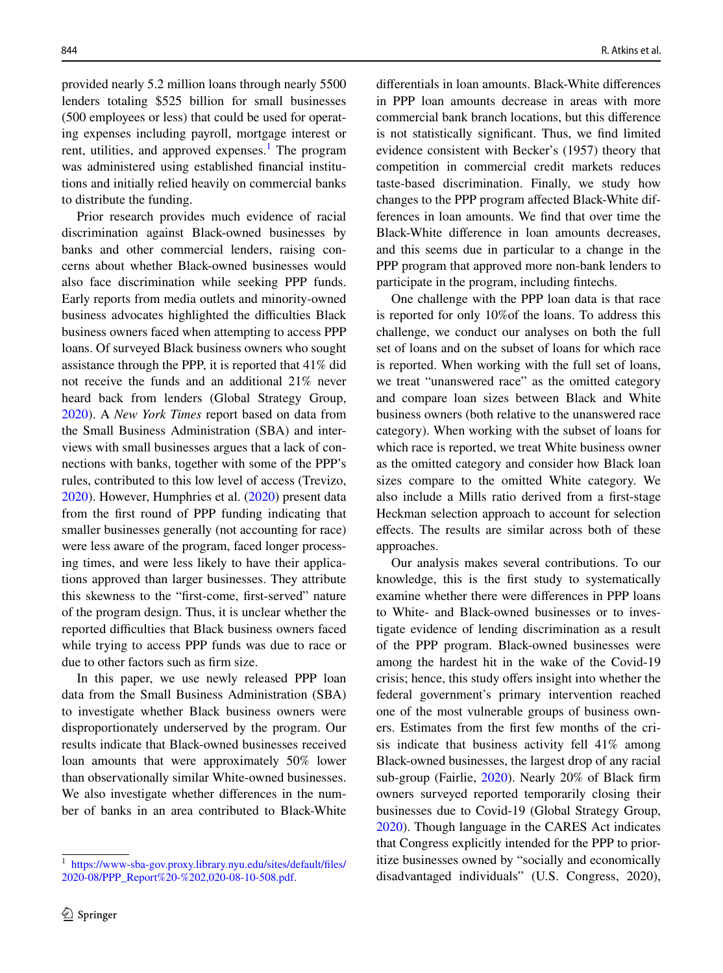provided nearly 5.2 million loans through nearly 5500 lenders totaling \$525 billion for small businesses (500 employees or less) that could be used for operating expenses including payroll, mortgage interest or rent, utilities, and approved expenses.<sup>[1](#page-1-0)</sup> The program was administered using established fnancial institutions and initially relied heavily on commercial banks to distribute the funding.

Prior research provides much evidence of racial discrimination against Black-owned businesses by banks and other commercial lenders, raising concerns about whether Black-owned businesses would also face discrimination while seeking PPP funds. Early reports from media outlets and minority-owned business advocates highlighted the difficulties Black business owners faced when attempting to access PPP loans. Of surveyed Black business owners who sought assistance through the PPP, it is reported that 41% did not receive the funds and an additional 21% never heard back from lenders (Global Strategy Group, [2020\)](#page-21-0). A *New York Times* report based on data from the Small Business Administration (SBA) and interviews with small businesses argues that a lack of connections with banks, together with some of the PPP's rules, contributed to this low level of access (Trevizo, [2020\)](#page-22-0). However, Humphries et al. [\(2020](#page-21-1)) present data from the frst round of PPP funding indicating that smaller businesses generally (not accounting for race) were less aware of the program, faced longer processing times, and were less likely to have their applications approved than larger businesses. They attribute this skewness to the "frst-come, frst-served" nature of the program design. Thus, it is unclear whether the reported difficulties that Black business owners faced while trying to access PPP funds was due to race or due to other factors such as frm size.

In this paper, we use newly released PPP loan data from the Small Business Administration (SBA) to investigate whether Black business owners were disproportionately underserved by the program. Our results indicate that Black-owned businesses received loan amounts that were approximately 50% lower than observationally similar White-owned businesses. We also investigate whether diferences in the number of banks in an area contributed to Black-White diferentials in loan amounts. Black-White diferences in PPP loan amounts decrease in areas with more commercial bank branch locations, but this diference is not statistically signifcant. Thus, we fnd limited evidence consistent with Becker's (1957) theory that competition in commercial credit markets reduces taste-based discrimination. Finally, we study how changes to the PPP program afected Black-White differences in loan amounts. We fnd that over time the Black-White diference in loan amounts decreases, and this seems due in particular to a change in the PPP program that approved more non-bank lenders to participate in the program, including fntechs.

One challenge with the PPP loan data is that race is reported for only 10%of the loans. To address this challenge, we conduct our analyses on both the full set of loans and on the subset of loans for which race is reported. When working with the full set of loans, we treat "unanswered race" as the omitted category and compare loan sizes between Black and White business owners (both relative to the unanswered race category). When working with the subset of loans for which race is reported, we treat White business owner as the omitted category and consider how Black loan sizes compare to the omitted White category. We also include a Mills ratio derived from a frst-stage Heckman selection approach to account for selection efects. The results are similar across both of these approaches.

Our analysis makes several contributions. To our knowledge, this is the frst study to systematically examine whether there were diferences in PPP loans to White- and Black-owned businesses or to investigate evidence of lending discrimination as a result of the PPP program. Black-owned businesses were among the hardest hit in the wake of the Covid-19 crisis; hence, this study offers insight into whether the federal government's primary intervention reached one of the most vulnerable groups of business owners. Estimates from the frst few months of the crisis indicate that business activity fell 41% among Black-owned businesses, the largest drop of any racial sub-group (Fairlie, [2020](#page-21-2)). Nearly 20% of Black frm owners surveyed reported temporarily closing their businesses due to Covid-19 (Global Strategy Group, [2020\)](#page-21-0). Though language in the CARES Act indicates that Congress explicitly intended for the PPP to prioritize businesses owned by "socially and economically disadvantaged individuals" (U.S. Congress, 2020),

<span id="page-1-0"></span><sup>1</sup> [https://www-sba-gov.proxy.library.nyu.edu/sites/default/fles/](https://www-sba-gov.proxy.library.nyu.edu/sites/default/files/2020-08/PPP_Report%20-%202,020-08-10-508.pdf) [2020-08/PPP\\_Report%20-%202,020-08-10-508.pdf](https://www-sba-gov.proxy.library.nyu.edu/sites/default/files/2020-08/PPP_Report%20-%202,020-08-10-508.pdf).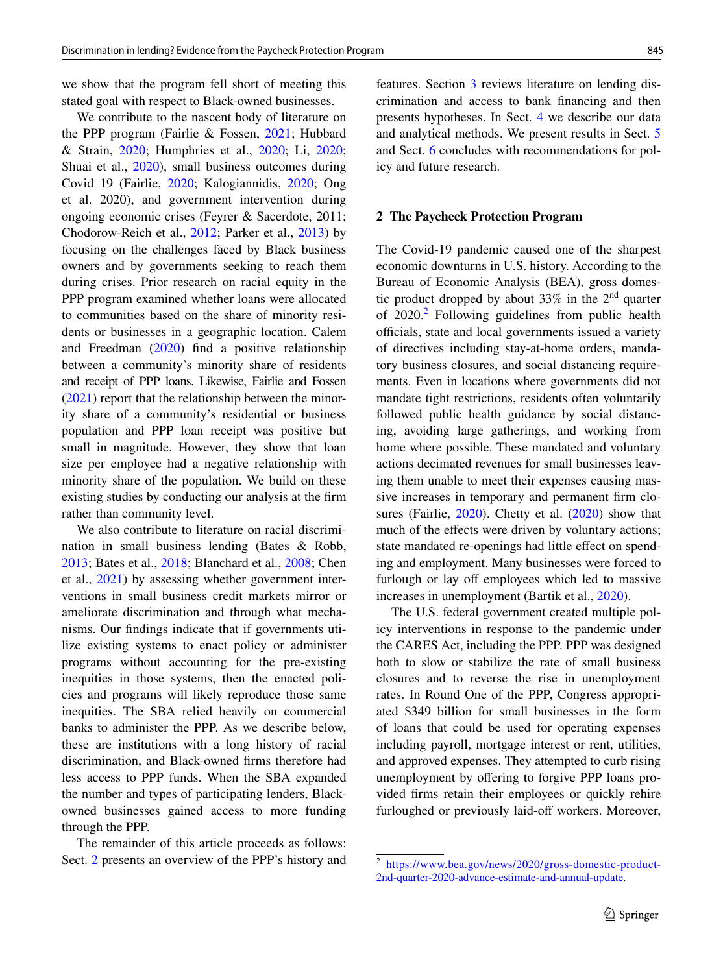we show that the program fell short of meeting this stated goal with respect to Black-owned businesses.

We contribute to the nascent body of literature on the PPP program (Fairlie & Fossen, [2021;](#page-21-3) Hubbard & Strain, [2020](#page-21-4); Humphries et al., [2020;](#page-21-1) Li, [2020](#page-22-1); Shuai et al., [2020\)](#page-22-2), small business outcomes during Covid 19 (Fairlie, [2020;](#page-21-2) Kalogiannidis, [2020;](#page-21-5) Ong et al. 2020), and government intervention during ongoing economic crises (Feyrer & Sacerdote, 2011; Chodorow-Reich et al., [2012](#page-20-0); Parker et al., [2013\)](#page-22-3) by focusing on the challenges faced by Black business owners and by governments seeking to reach them during crises. Prior research on racial equity in the PPP program examined whether loans were allocated to communities based on the share of minority residents or businesses in a geographic location. Calem and Freedman [\(2020](#page-20-1)) fnd a positive relationship between a community's minority share of residents and receipt of PPP loans. Likewise, Fairlie and Fossen [\(2021](#page-21-3)) report that the relationship between the minority share of a community's residential or business population and PPP loan receipt was positive but small in magnitude. However, they show that loan size per employee had a negative relationship with minority share of the population. We build on these existing studies by conducting our analysis at the frm rather than community level.

We also contribute to literature on racial discrimination in small business lending (Bates & Robb, [2013;](#page-20-2) Bates et al., [2018;](#page-20-3) Blanchard et al., [2008;](#page-20-4) Chen et al., [2021](#page-20-5)) by assessing whether government interventions in small business credit markets mirror or ameliorate discrimination and through what mechanisms. Our fndings indicate that if governments utilize existing systems to enact policy or administer programs without accounting for the pre-existing inequities in those systems, then the enacted policies and programs will likely reproduce those same inequities. The SBA relied heavily on commercial banks to administer the PPP. As we describe below, these are institutions with a long history of racial discrimination, and Black-owned frms therefore had less access to PPP funds. When the SBA expanded the number and types of participating lenders, Blackowned businesses gained access to more funding through the PPP.

The remainder of this article proceeds as follows: Sect. [2](#page-2-0) presents an overview of the PPP's history and features. Section [3](#page-4-0) reviews literature on lending discrimination and access to bank fnancing and then presents hypotheses. In Sect. [4](#page-4-1) we describe our data and analytical methods. We present results in Sect. [5](#page-5-0) and Sect. [6](#page-6-0) concludes with recommendations for policy and future research.

#### <span id="page-2-0"></span>**2 The Paycheck Protection Program**

The Covid-19 pandemic caused one of the sharpest economic downturns in U.S. history. According to the Bureau of Economic Analysis (BEA), gross domestic product dropped by about  $33\%$  in the  $2<sup>nd</sup>$  quarter of  $2020$  $2020$ .<sup>2</sup> Following guidelines from public health officials, state and local governments issued a variety of directives including stay-at-home orders, mandatory business closures, and social distancing requirements. Even in locations where governments did not mandate tight restrictions, residents often voluntarily followed public health guidance by social distancing, avoiding large gatherings, and working from home where possible. These mandated and voluntary actions decimated revenues for small businesses leaving them unable to meet their expenses causing massive increases in temporary and permanent frm closures (Fairlie, [2020](#page-21-2)). Chetty et al. [\(2020](#page-20-6)) show that much of the effects were driven by voluntary actions; state mandated re-openings had little effect on spending and employment. Many businesses were forced to furlough or lay off employees which led to massive increases in unemployment (Bartik et al., [2020](#page-20-7)).

The U.S. federal government created multiple policy interventions in response to the pandemic under the CARES Act, including the PPP. PPP was designed both to slow or stabilize the rate of small business closures and to reverse the rise in unemployment rates. In Round One of the PPP, Congress appropriated \$349 billion for small businesses in the form of loans that could be used for operating expenses including payroll, mortgage interest or rent, utilities, and approved expenses. They attempted to curb rising unemployment by ofering to forgive PPP loans provided frms retain their employees or quickly rehire furloughed or previously laid-off workers. Moreover,

<span id="page-2-1"></span><sup>2</sup> [https://www.bea.gov/news/2020/gross-domestic-product-](https://www.bea.gov/news/2020/gross-domestic-product-2nd-quarter-2020-advance-estimate-and-annual-update)[2nd-quarter-2020-advance-estimate-and-annual-update.](https://www.bea.gov/news/2020/gross-domestic-product-2nd-quarter-2020-advance-estimate-and-annual-update)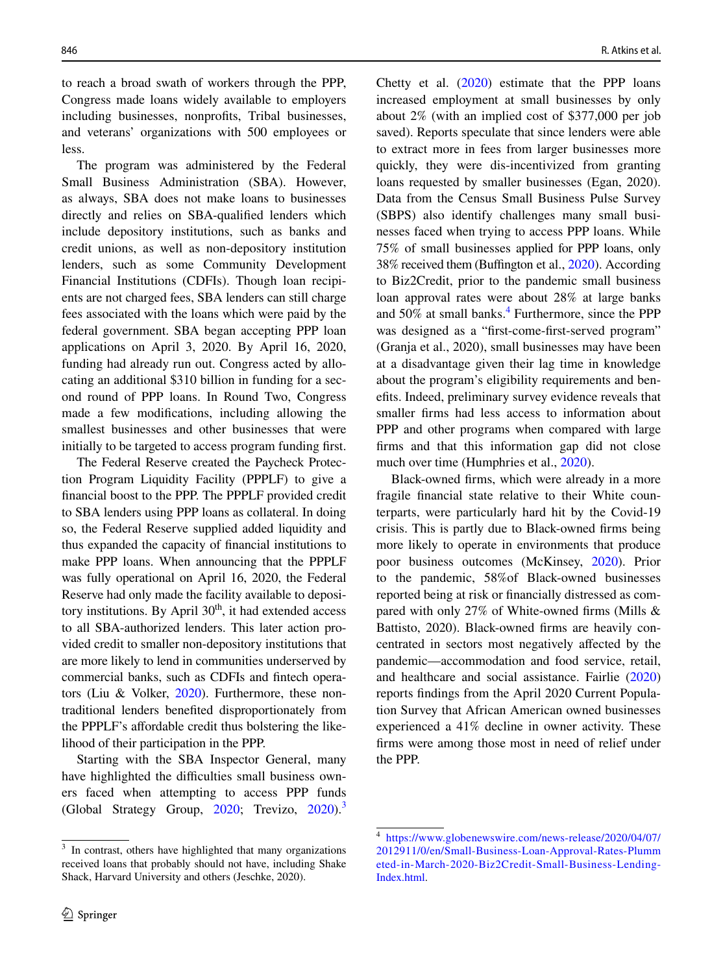to reach a broad swath of workers through the PPP, Congress made loans widely available to employers including businesses, nonprofts, Tribal businesses, and veterans' organizations with 500 employees or less.

The program was administered by the Federal Small Business Administration (SBA). However, as always, SBA does not make loans to businesses directly and relies on SBA-qualifed lenders which include depository institutions, such as banks and credit unions, as well as non-depository institution lenders, such as some Community Development Financial Institutions (CDFIs). Though loan recipients are not charged fees, SBA lenders can still charge fees associated with the loans which were paid by the federal government. SBA began accepting PPP loan applications on April 3, 2020. By April 16, 2020, funding had already run out. Congress acted by allocating an additional \$310 billion in funding for a second round of PPP loans. In Round Two, Congress made a few modifcations, including allowing the smallest businesses and other businesses that were initially to be targeted to access program funding frst.

The Federal Reserve created the Paycheck Protection Program Liquidity Facility (PPPLF) to give a fnancial boost to the PPP. The PPPLF provided credit to SBA lenders using PPP loans as collateral. In doing so, the Federal Reserve supplied added liquidity and thus expanded the capacity of fnancial institutions to make PPP loans. When announcing that the PPPLF was fully operational on April 16, 2020, the Federal Reserve had only made the facility available to depository institutions. By April  $30<sup>th</sup>$ , it had extended access to all SBA-authorized lenders. This later action provided credit to smaller non-depository institutions that are more likely to lend in communities underserved by commercial banks, such as CDFIs and fntech operators (Liu & Volker, [2020](#page-22-4)). Furthermore, these nontraditional lenders benefted disproportionately from the PPPLF's affordable credit thus bolstering the likelihood of their participation in the PPP.

Starting with the SBA Inspector General, many have highlighted the difficulties small business owners faced when attempting to access PPP funds (Global Strategy Group, [2020;](#page-21-0) Trevizo, [2020\)](#page-22-0).<sup>[3](#page-3-0)</sup>

Chetty et al.  $(2020)$  $(2020)$  estimate that the PPP loans increased employment at small businesses by only about 2% (with an implied cost of \$377,000 per job saved). Reports speculate that since lenders were able to extract more in fees from larger businesses more quickly, they were dis-incentivized from granting loans requested by smaller businesses (Egan, 2020). Data from the Census Small Business Pulse Survey (SBPS) also identify challenges many small businesses faced when trying to access PPP loans. While 75% of small businesses applied for PPP loans, only 38% received them (Buffington et al., [2020](#page-20-8)). According to Biz2Credit, prior to the pandemic small business loan approval rates were about 28% at large banks and  $50\%$  at small banks.<sup>[4](#page-3-1)</sup> Furthermore, since the PPP was designed as a "frst-come-frst-served program" (Granja et al., 2020), small businesses may have been at a disadvantage given their lag time in knowledge about the program's eligibility requirements and benefts. Indeed, preliminary survey evidence reveals that smaller frms had less access to information about PPP and other programs when compared with large frms and that this information gap did not close much over time (Humphries et al., [2020](#page-21-1)).

Black-owned frms, which were already in a more fragile fnancial state relative to their White counterparts, were particularly hard hit by the Covid-19 crisis. This is partly due to Black-owned frms being more likely to operate in environments that produce poor business outcomes (McKinsey, [2020\)](#page-22-5). Prior to the pandemic, 58%of Black-owned businesses reported being at risk or fnancially distressed as compared with only 27% of White-owned frms (Mills & Battisto, 2020). Black-owned frms are heavily concentrated in sectors most negatively afected by the pandemic—accommodation and food service, retail, and healthcare and social assistance. Fairlie [\(2020](#page-21-2)) reports fndings from the April 2020 Current Population Survey that African American owned businesses experienced a 41% decline in owner activity. These frms were among those most in need of relief under the PPP.

<span id="page-3-0"></span><sup>&</sup>lt;sup>3</sup> In contrast, others have highlighted that many organizations received loans that probably should not have, including Shake Shack, Harvard University and others (Jeschke, 2020).

<span id="page-3-1"></span><sup>4</sup> [https://www.globenewswire.com/news-release/2020/04/07/](https://www.globenewswire.com/news-release/2020/04/07/2012911/0/en/Small-Business-Loan-Approval-Rates-Plummeted-in-March-2020-Biz2Credit-Small-Business-Lending-Index.html) [2012911/0/en/Small-Business-Loan-Approval-Rates-Plumm](https://www.globenewswire.com/news-release/2020/04/07/2012911/0/en/Small-Business-Loan-Approval-Rates-Plummeted-in-March-2020-Biz2Credit-Small-Business-Lending-Index.html) [eted-in-March-2020-Biz2Credit-Small-Business-Lending-](https://www.globenewswire.com/news-release/2020/04/07/2012911/0/en/Small-Business-Loan-Approval-Rates-Plummeted-in-March-2020-Biz2Credit-Small-Business-Lending-Index.html)[Index.html.](https://www.globenewswire.com/news-release/2020/04/07/2012911/0/en/Small-Business-Loan-Approval-Rates-Plummeted-in-March-2020-Biz2Credit-Small-Business-Lending-Index.html)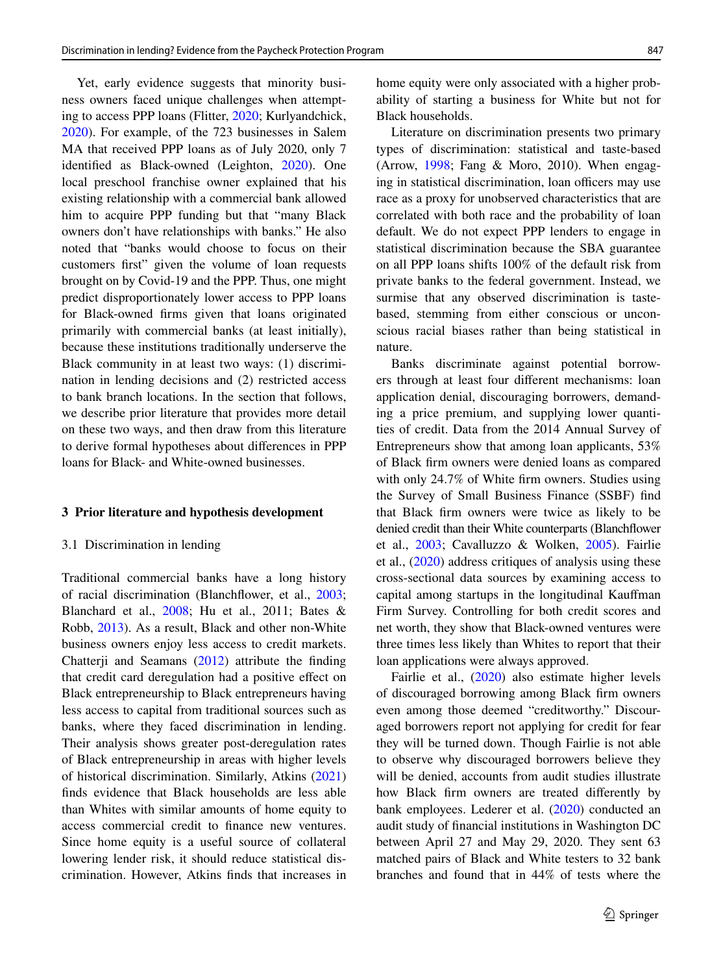Yet, early evidence suggests that minority business owners faced unique challenges when attempting to access PPP loans (Flitter, [2020;](#page-21-6) Kurlyandchick, [2020\)](#page-21-7). For example, of the 723 businesses in Salem MA that received PPP loans as of July 2020, only 7 identifed as Black-owned (Leighton, [2020](#page-21-8)). One local preschool franchise owner explained that his existing relationship with a commercial bank allowed him to acquire PPP funding but that "many Black owners don't have relationships with banks." He also noted that "banks would choose to focus on their customers frst" given the volume of loan requests brought on by Covid-19 and the PPP. Thus, one might predict disproportionately lower access to PPP loans for Black-owned frms given that loans originated primarily with commercial banks (at least initially), because these institutions traditionally underserve the Black community in at least two ways: (1) discrimination in lending decisions and (2) restricted access to bank branch locations. In the section that follows, we describe prior literature that provides more detail on these two ways, and then draw from this literature to derive formal hypotheses about diferences in PPP loans for Black- and White-owned businesses.

#### <span id="page-4-0"></span>**3 Prior literature and hypothesis development**

#### <span id="page-4-1"></span>3.1 Discrimination in lending

Traditional commercial banks have a long history of racial discrimination (Blanchfower, et al., [2003](#page-20-9); Blanchard et al., [2008](#page-20-4); Hu et al., 2011; Bates & Robb, [2013\)](#page-20-2). As a result, Black and other non-White business owners enjoy less access to credit markets. Chatterji and Seamans ([2012\)](#page-20-10) attribute the fnding that credit card deregulation had a positive efect on Black entrepreneurship to Black entrepreneurs having less access to capital from traditional sources such as banks, where they faced discrimination in lending. Their analysis shows greater post-deregulation rates of Black entrepreneurship in areas with higher levels of historical discrimination. Similarly, Atkins ([2021\)](#page-20-11) fnds evidence that Black households are less able than Whites with similar amounts of home equity to access commercial credit to fnance new ventures. Since home equity is a useful source of collateral lowering lender risk, it should reduce statistical discrimination. However, Atkins fnds that increases in home equity were only associated with a higher probability of starting a business for White but not for Black households.

Literature on discrimination presents two primary types of discrimination: statistical and taste-based (Arrow, [1998;](#page-20-12) Fang & Moro, 2010). When engaging in statistical discrimination, loan officers may use race as a proxy for unobserved characteristics that are correlated with both race and the probability of loan default. We do not expect PPP lenders to engage in statistical discrimination because the SBA guarantee on all PPP loans shifts 100% of the default risk from private banks to the federal government. Instead, we surmise that any observed discrimination is tastebased, stemming from either conscious or unconscious racial biases rather than being statistical in nature.

Banks discriminate against potential borrowers through at least four diferent mechanisms: loan application denial, discouraging borrowers, demanding a price premium, and supplying lower quantities of credit. Data from the 2014 Annual Survey of Entrepreneurs show that among loan applicants, 53% of Black frm owners were denied loans as compared with only 24.7% of White firm owners. Studies using the Survey of Small Business Finance (SSBF) fnd that Black frm owners were twice as likely to be denied credit than their White counterparts (Blanchfower et al., [2003;](#page-20-9) Cavalluzzo & Wolken, [2005](#page-20-13)). Fairlie et al., [\(2020](#page-21-9)) address critiques of analysis using these cross-sectional data sources by examining access to capital among startups in the longitudinal Kaufman Firm Survey. Controlling for both credit scores and net worth, they show that Black-owned ventures were three times less likely than Whites to report that their loan applications were always approved.

Fairlie et al., ([2020\)](#page-21-9) also estimate higher levels of discouraged borrowing among Black frm owners even among those deemed "creditworthy." Discouraged borrowers report not applying for credit for fear they will be turned down. Though Fairlie is not able to observe why discouraged borrowers believe they will be denied, accounts from audit studies illustrate how Black frm owners are treated diferently by bank employees. Lederer et al. [\(2020](#page-21-10)) conducted an audit study of fnancial institutions in Washington DC between April 27 and May 29, 2020. They sent 63 matched pairs of Black and White testers to 32 bank branches and found that in 44% of tests where the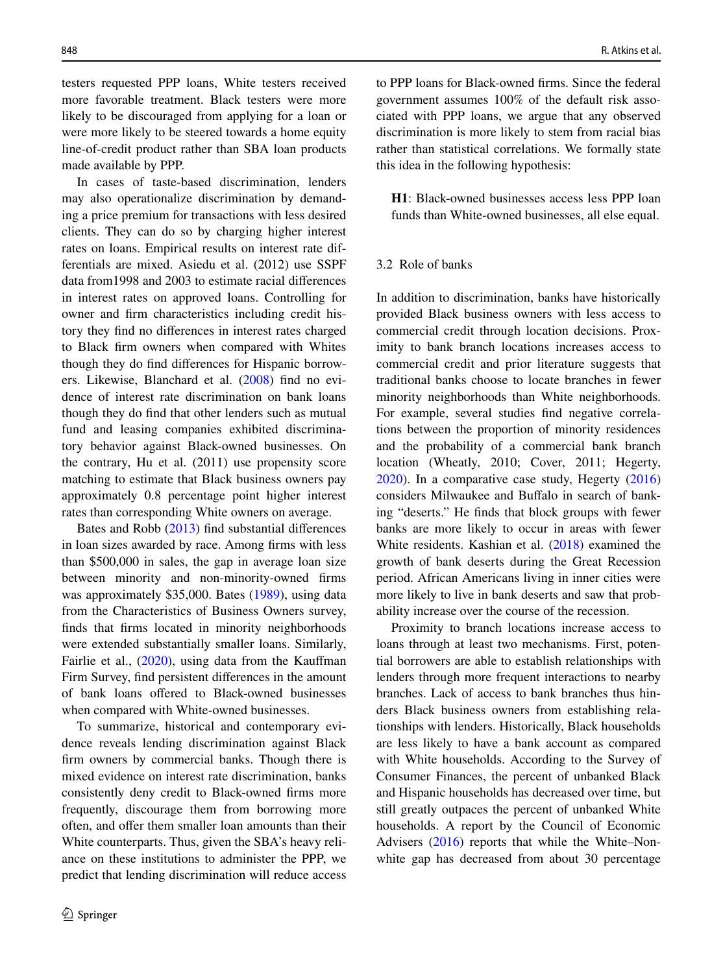testers requested PPP loans, White testers received more favorable treatment. Black testers were more likely to be discouraged from applying for a loan or were more likely to be steered towards a home equity line-of-credit product rather than SBA loan products made available by PPP.

In cases of taste-based discrimination, lenders may also operationalize discrimination by demanding a price premium for transactions with less desired clients. They can do so by charging higher interest rates on loans. Empirical results on interest rate differentials are mixed. Asiedu et al. (2012) use SSPF data from1998 and 2003 to estimate racial diferences in interest rates on approved loans. Controlling for owner and frm characteristics including credit history they fnd no diferences in interest rates charged to Black frm owners when compared with Whites though they do fnd diferences for Hispanic borrowers. Likewise, Blanchard et al. [\(2008](#page-20-4)) fnd no evidence of interest rate discrimination on bank loans though they do fnd that other lenders such as mutual fund and leasing companies exhibited discriminatory behavior against Black-owned businesses. On the contrary, Hu et al. (2011) use propensity score matching to estimate that Black business owners pay approximately 0.8 percentage point higher interest rates than corresponding White owners on average.

Bates and Robb [\(2013](#page-20-2)) fnd substantial diferences in loan sizes awarded by race. Among frms with less than \$500,000 in sales, the gap in average loan size between minority and non-minority-owned frms was approximately \$35,000. Bates ([1989\)](#page-20-14), using data from the Characteristics of Business Owners survey, fnds that frms located in minority neighborhoods were extended substantially smaller loans. Similarly, Fairlie et al., ([2020\)](#page-21-9), using data from the Kauffman Firm Survey, fnd persistent diferences in the amount of bank loans ofered to Black-owned businesses when compared with White-owned businesses.

To summarize, historical and contemporary evidence reveals lending discrimination against Black frm owners by commercial banks. Though there is mixed evidence on interest rate discrimination, banks consistently deny credit to Black-owned frms more frequently, discourage them from borrowing more often, and offer them smaller loan amounts than their White counterparts. Thus, given the SBA's heavy reliance on these institutions to administer the PPP, we predict that lending discrimination will reduce access to PPP loans for Black-owned frms. Since the federal government assumes 100% of the default risk associated with PPP loans, we argue that any observed discrimination is more likely to stem from racial bias rather than statistical correlations. We formally state this idea in the following hypothesis:

**H1**: Black-owned businesses access less PPP loan funds than White-owned businesses, all else equal.

#### <span id="page-5-0"></span>3.2 Role of banks

In addition to discrimination, banks have historically provided Black business owners with less access to commercial credit through location decisions. Proximity to bank branch locations increases access to commercial credit and prior literature suggests that traditional banks choose to locate branches in fewer minority neighborhoods than White neighborhoods. For example, several studies fnd negative correlations between the proportion of minority residences and the probability of a commercial bank branch location (Wheatly, 2010; Cover, 2011; Hegerty, [2020\)](#page-21-11). In a comparative case study, Hegerty [\(2016](#page-21-12)) considers Milwaukee and Bufalo in search of banking "deserts." He fnds that block groups with fewer banks are more likely to occur in areas with fewer White residents. Kashian et al. ([2018\)](#page-21-13) examined the growth of bank deserts during the Great Recession period. African Americans living in inner cities were more likely to live in bank deserts and saw that probability increase over the course of the recession.

Proximity to branch locations increase access to loans through at least two mechanisms. First, potential borrowers are able to establish relationships with lenders through more frequent interactions to nearby branches. Lack of access to bank branches thus hinders Black business owners from establishing relationships with lenders. Historically, Black households are less likely to have a bank account as compared with White households. According to the Survey of Consumer Finances, the percent of unbanked Black and Hispanic households has decreased over time, but still greatly outpaces the percent of unbanked White households. A report by the Council of Economic Advisers ([2016\)](#page-20-15) reports that while the White–Nonwhite gap has decreased from about 30 percentage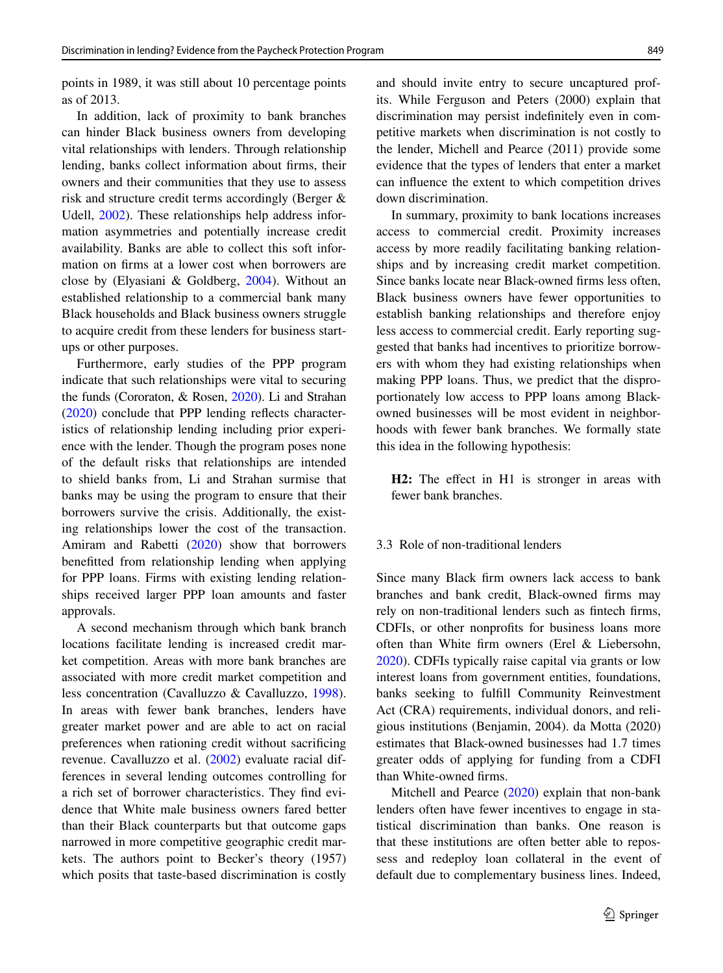points in 1989, it was still about 10 percentage points as of 2013.

In addition, lack of proximity to bank branches can hinder Black business owners from developing vital relationships with lenders. Through relationship lending, banks collect information about frms, their owners and their communities that they use to assess risk and structure credit terms accordingly (Berger & Udell, [2002\)](#page-20-16). These relationships help address information asymmetries and potentially increase credit availability. Banks are able to collect this soft information on frms at a lower cost when borrowers are close by (Elyasiani & Goldberg, [2004\)](#page-21-14). Without an established relationship to a commercial bank many Black households and Black business owners struggle to acquire credit from these lenders for business startups or other purposes.

Furthermore, early studies of the PPP program indicate that such relationships were vital to securing the funds (Cororaton, & Rosen, [2020\)](#page-20-17). Li and Strahan [\(2020](#page-21-15)) conclude that PPP lending refects characteristics of relationship lending including prior experience with the lender. Though the program poses none of the default risks that relationships are intended to shield banks from, Li and Strahan surmise that banks may be using the program to ensure that their borrowers survive the crisis. Additionally, the existing relationships lower the cost of the transaction. Amiram and Rabetti ([2020\)](#page-20-18) show that borrowers beneftted from relationship lending when applying for PPP loans. Firms with existing lending relationships received larger PPP loan amounts and faster approvals.

A second mechanism through which bank branch locations facilitate lending is increased credit market competition. Areas with more bank branches are associated with more credit market competition and less concentration (Cavalluzzo & Cavalluzzo, [1998](#page-20-19)). In areas with fewer bank branches, lenders have greater market power and are able to act on racial preferences when rationing credit without sacrifcing revenue. Cavalluzzo et al. ([2002\)](#page-20-20) evaluate racial differences in several lending outcomes controlling for a rich set of borrower characteristics. They fnd evidence that White male business owners fared better than their Black counterparts but that outcome gaps narrowed in more competitive geographic credit markets. The authors point to Becker's theory (1957) which posits that taste-based discrimination is costly and should invite entry to secure uncaptured profits. While Ferguson and Peters (2000) explain that discrimination may persist indefnitely even in competitive markets when discrimination is not costly to the lender, Michell and Pearce (2011) provide some evidence that the types of lenders that enter a market can infuence the extent to which competition drives down discrimination.

In summary, proximity to bank locations increases access to commercial credit. Proximity increases access by more readily facilitating banking relationships and by increasing credit market competition. Since banks locate near Black-owned frms less often, Black business owners have fewer opportunities to establish banking relationships and therefore enjoy less access to commercial credit. Early reporting suggested that banks had incentives to prioritize borrowers with whom they had existing relationships when making PPP loans. Thus, we predict that the disproportionately low access to PPP loans among Blackowned businesses will be most evident in neighborhoods with fewer bank branches. We formally state this idea in the following hypothesis:

**H2:** The effect in H1 is stronger in areas with fewer bank branches.

# <span id="page-6-0"></span>3.3 Role of non-traditional lenders

Since many Black frm owners lack access to bank branches and bank credit, Black-owned frms may rely on non-traditional lenders such as fntech frms, CDFIs, or other nonprofts for business loans more often than White frm owners (Erel & Liebersohn, [2020\)](#page-21-16). CDFIs typically raise capital via grants or low interest loans from government entities, foundations, banks seeking to fulfll Community Reinvestment Act (CRA) requirements, individual donors, and religious institutions (Benjamin, 2004). da Motta (2020) estimates that Black-owned businesses had 1.7 times greater odds of applying for funding from a CDFI than White-owned frms.

Mitchell and Pearce ([2020\)](#page-22-6) explain that non-bank lenders often have fewer incentives to engage in statistical discrimination than banks. One reason is that these institutions are often better able to repossess and redeploy loan collateral in the event of default due to complementary business lines. Indeed,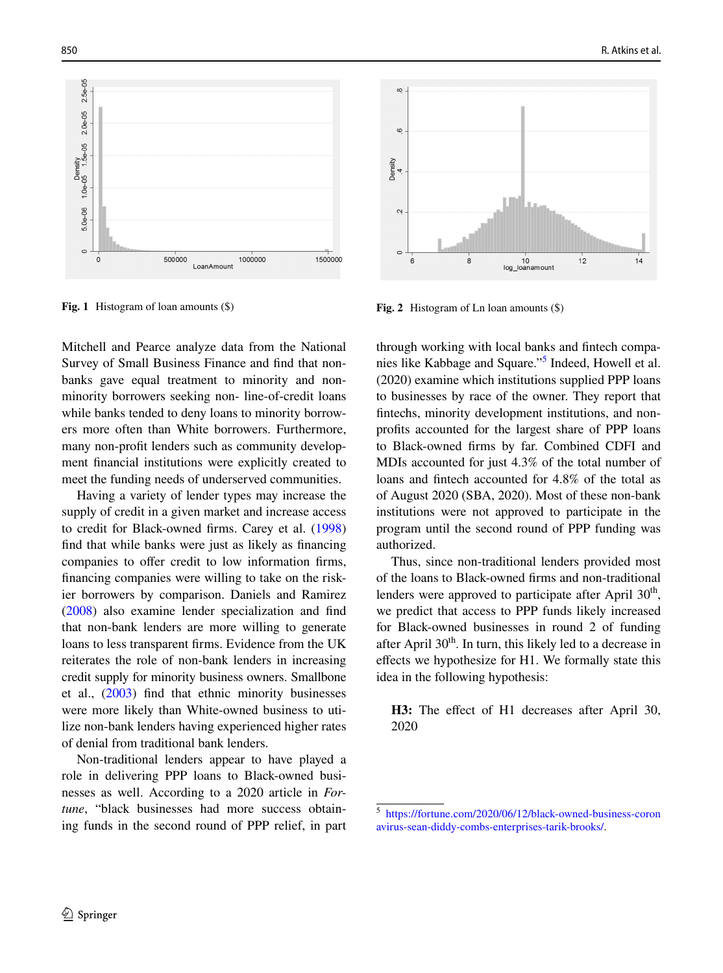

<span id="page-7-1"></span>**Fig. 1** Histogram of loan amounts (\$) **Fig. 2** Histogram of Ln loan amounts (\$)

Mitchell and Pearce analyze data from the National Survey of Small Business Finance and fnd that nonbanks gave equal treatment to minority and nonminority borrowers seeking non- line-of-credit loans while banks tended to deny loans to minority borrowers more often than White borrowers. Furthermore, many non-proft lenders such as community development fnancial institutions were explicitly created to meet the funding needs of underserved communities.

Having a variety of lender types may increase the supply of credit in a given market and increase access to credit for Black-owned frms. Carey et al. ([1998\)](#page-20-21) fnd that while banks were just as likely as fnancing companies to offer credit to low information firms, fnancing companies were willing to take on the riskier borrowers by comparison. Daniels and Ramirez [\(2008](#page-21-17)) also examine lender specialization and fnd that non-bank lenders are more willing to generate loans to less transparent frms. Evidence from the UK reiterates the role of non-bank lenders in increasing credit supply for minority business owners. Smallbone et al., [\(2003](#page-22-7)) fnd that ethnic minority businesses were more likely than White-owned business to utilize non-bank lenders having experienced higher rates of denial from traditional bank lenders.

Non-traditional lenders appear to have played a role in delivering PPP loans to Black-owned businesses as well. According to a 2020 article in *Fortune*, "black businesses had more success obtaining funds in the second round of PPP relief, in part



<span id="page-7-2"></span>

through working with local banks and fntech companies like Kabbage and Square."[5](#page-7-0) Indeed, Howell et al. (2020) examine which institutions supplied PPP loans to businesses by race of the owner. They report that fntechs, minority development institutions, and nonprofts accounted for the largest share of PPP loans to Black-owned frms by far. Combined CDFI and MDIs accounted for just 4.3% of the total number of loans and fntech accounted for 4.8% of the total as of August 2020 (SBA, 2020). Most of these non-bank institutions were not approved to participate in the program until the second round of PPP funding was authorized.

Thus, since non-traditional lenders provided most of the loans to Black-owned frms and non-traditional lenders were approved to participate after April  $30<sup>th</sup>$ , we predict that access to PPP funds likely increased for Black-owned businesses in round 2 of funding after April  $30<sup>th</sup>$ . In turn, this likely led to a decrease in efects we hypothesize for H1. We formally state this idea in the following hypothesis:

**H3:** The efect of H1 decreases after April 30, 2020

<span id="page-7-0"></span><sup>5</sup> [https://fortune.com/2020/06/12/black-owned-business-coron](https://fortune.com/2020/06/12/black-owned-business-coronavirus-sean-diddy-combs-enterprises-tarik-brooks/) [avirus-sean-diddy-combs-enterprises-tarik-brooks/](https://fortune.com/2020/06/12/black-owned-business-coronavirus-sean-diddy-combs-enterprises-tarik-brooks/).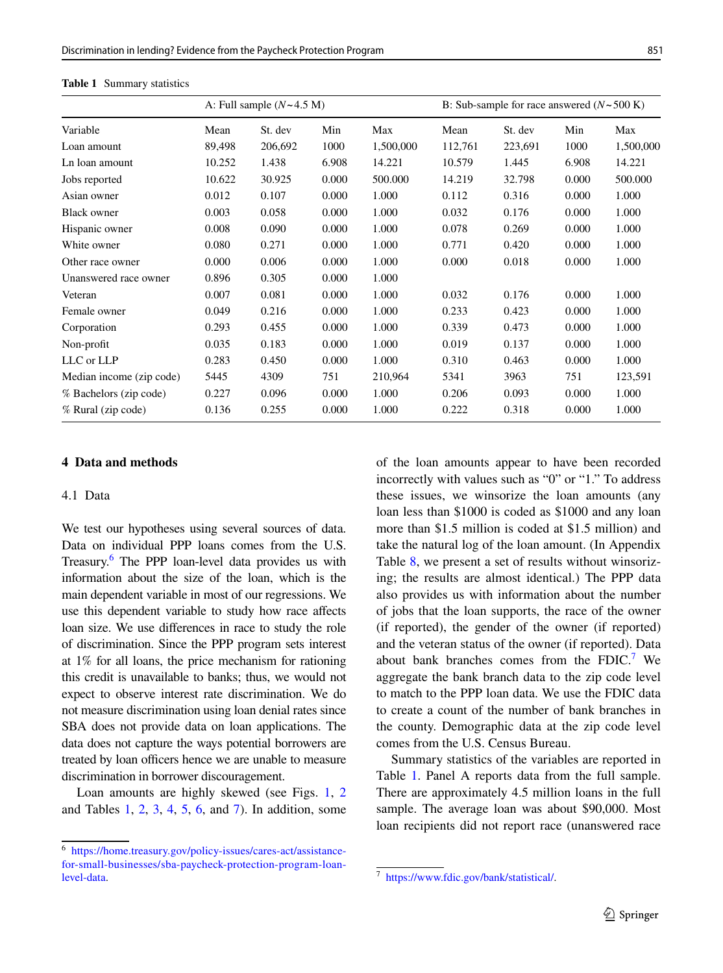|                          | A: Full sample $(N \sim 4.5$ M) |         |       |           |         | B: Sub-sample for race answered $(N \sim 500 \text{ K})$ |       |           |  |
|--------------------------|---------------------------------|---------|-------|-----------|---------|----------------------------------------------------------|-------|-----------|--|
| Variable                 | Mean                            | St. dev | Min   | Max       | Mean    | St. dev                                                  | Min   | Max       |  |
| Loan amount              | 89,498                          | 206,692 | 1000  | 1,500,000 | 112,761 | 223,691                                                  | 1000  | 1,500,000 |  |
| Ln loan amount           | 10.252                          | 1.438   | 6.908 | 14.221    | 10.579  | 1.445                                                    | 6.908 | 14.221    |  |
| Jobs reported            | 10.622                          | 30.925  | 0.000 | 500.000   | 14.219  | 32.798                                                   | 0.000 | 500,000   |  |
| Asian owner              | 0.012                           | 0.107   | 0.000 | 1.000     | 0.112   | 0.316                                                    | 0.000 | 1.000     |  |
| <b>Black owner</b>       | 0.003                           | 0.058   | 0.000 | 1.000     | 0.032   | 0.176                                                    | 0.000 | 1.000     |  |
| Hispanic owner           | 0.008                           | 0.090   | 0.000 | 1.000     | 0.078   | 0.269                                                    | 0.000 | 1.000     |  |
| White owner              | 0.080                           | 0.271   | 0.000 | 1.000     | 0.771   | 0.420                                                    | 0.000 | 1.000     |  |
| Other race owner         | 0.000                           | 0.006   | 0.000 | 1.000     | 0.000   | 0.018                                                    | 0.000 | 1.000     |  |
| Unanswered race owner    | 0.896                           | 0.305   | 0.000 | 1.000     |         |                                                          |       |           |  |
| Veteran                  | 0.007                           | 0.081   | 0.000 | 1.000     | 0.032   | 0.176                                                    | 0.000 | 1.000     |  |
| Female owner             | 0.049                           | 0.216   | 0.000 | 1.000     | 0.233   | 0.423                                                    | 0.000 | 1.000     |  |
| Corporation              | 0.293                           | 0.455   | 0.000 | 1.000     | 0.339   | 0.473                                                    | 0.000 | 1.000     |  |
| Non-profit               | 0.035                           | 0.183   | 0.000 | 1.000     | 0.019   | 0.137                                                    | 0.000 | 1.000     |  |
| LLC or LLP               | 0.283                           | 0.450   | 0.000 | 1.000     | 0.310   | 0.463                                                    | 0.000 | 1.000     |  |
| Median income (zip code) | 5445                            | 4309    | 751   | 210,964   | 5341    | 3963                                                     | 751   | 123,591   |  |
| % Bachelors (zip code)   | 0.227                           | 0.096   | 0.000 | 1.000     | 0.206   | 0.093                                                    | 0.000 | 1.000     |  |
| % Rural (zip code)       | 0.136                           | 0.255   | 0.000 | 1.000     | 0.222   | 0.318                                                    | 0.000 | 1.000     |  |

<span id="page-8-1"></span>**Table 1** Summary statistics

# **4 Data and methods**

# 4.1 Data

We test our hypotheses using several sources of data. Data on individual PPP loans comes from the U.S. Treasury.<sup>[6](#page-8-0)</sup> The PPP loan-level data provides us with information about the size of the loan, which is the main dependent variable in most of our regressions. We use this dependent variable to study how race afects loan size. We use diferences in race to study the role of discrimination. Since the PPP program sets interest at 1% for all loans, the price mechanism for rationing this credit is unavailable to banks; thus, we would not expect to observe interest rate discrimination. We do not measure discrimination using loan denial rates since SBA does not provide data on loan applications. The data does not capture the ways potential borrowers are treated by loan officers hence we are unable to measure discrimination in borrower discouragement.

Loan amounts are highly skewed (see Figs. [1](#page-7-1), [2](#page-7-2) and Tables [1](#page-8-1), [2,](#page-9-0) [3,](#page-9-1) [4,](#page-10-0) [5](#page-10-1), [6](#page-11-0), and [7\)](#page-12-0). In addition, some of the loan amounts appear to have been recorded incorrectly with values such as "0" or "1." To address these issues, we winsorize the loan amounts (any loan less than \$1000 is coded as \$1000 and any loan more than \$1.5 million is coded at \$1.5 million) and take the natural log of the loan amount. (In Appendix Table [8](#page-16-0), we present a set of results without winsorizing; the results are almost identical.) The PPP data also provides us with information about the number of jobs that the loan supports, the race of the owner (if reported), the gender of the owner (if reported) and the veteran status of the owner (if reported). Data about bank branches comes from the  $FDIC.<sup>7</sup>$  $FDIC.<sup>7</sup>$  $FDIC.<sup>7</sup>$  We aggregate the bank branch data to the zip code level to match to the PPP loan data. We use the FDIC data to create a count of the number of bank branches in the county. Demographic data at the zip code level comes from the U.S. Census Bureau.

Summary statistics of the variables are reported in Table [1](#page-8-1). Panel A reports data from the full sample. There are approximately 4.5 million loans in the full sample. The average loan was about \$90,000. Most loan recipients did not report race (unanswered race

<span id="page-8-0"></span>[https://home.treasury.gov/policy-issues/cares-act/assistance](https://home.treasury.gov/policy-issues/cares-act/assistance-for-small-businesses/sba-paycheck-protection-program-loan-level-data)[for-small-businesses/sba-paycheck-protection-program-loan-](https://home.treasury.gov/policy-issues/cares-act/assistance-for-small-businesses/sba-paycheck-protection-program-loan-level-data)

<span id="page-8-2"></span> $\frac{1}{7}$  <https://www.fdic.gov/bank/statistical/>.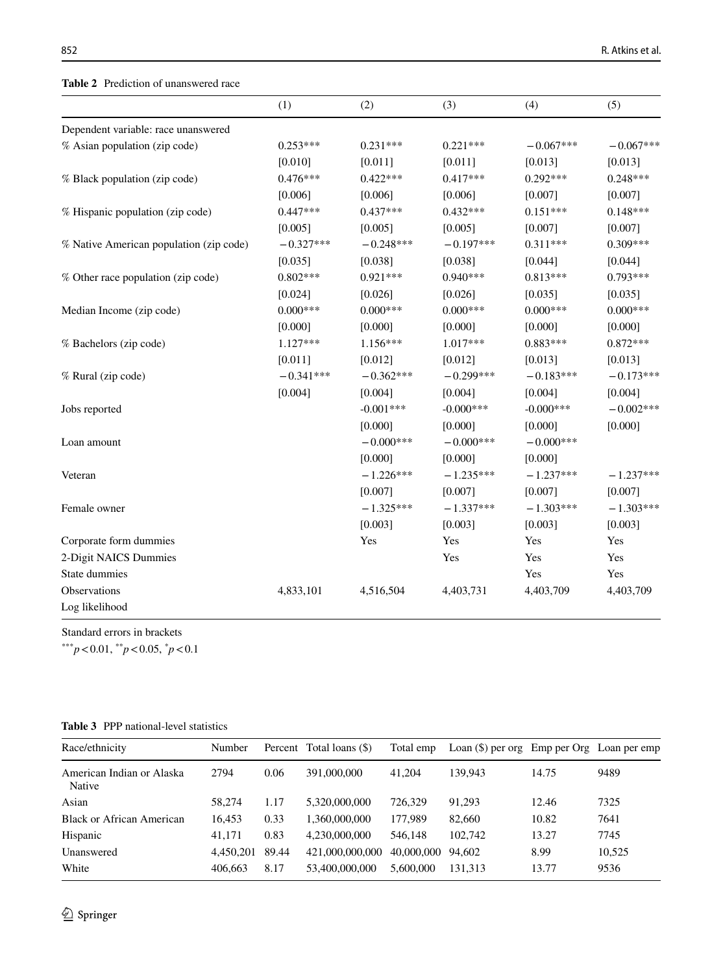<span id="page-9-0"></span>**Table 2** Prediction of unanswered race

|                                         | (1)         | (2)         | (3)          | (4)          | (5)         |
|-----------------------------------------|-------------|-------------|--------------|--------------|-------------|
| Dependent variable: race unanswered     |             |             |              |              |             |
| % Asian population (zip code)           | $0.253***$  | $0.231***$  | $0.221***$   | $-0.067***$  | $-0.067***$ |
|                                         | [0.010]     | [0.011]     | [0.011]      | [0.013]      | [0.013]     |
| % Black population (zip code)           | $0.476***$  | $0.422***$  | $0.417***$   | $0.292***$   | $0.248***$  |
|                                         | [0.006]     | [0.006]     | [0.006]      | [0.007]      | [0.007]     |
| % Hispanic population (zip code)        | $0.447***$  | $0.437***$  | $0.432***$   | $0.151***$   | $0.148***$  |
|                                         | [0.005]     | [0.005]     | [0.005]      | [0.007]      | [0.007]     |
| % Native American population (zip code) | $-0.327***$ | $-0.248***$ | $-0.197***$  | $0.311***$   | $0.309***$  |
|                                         | [0.035]     | [0.038]     | [0.038]      | [0.044]      | [0.044]     |
| % Other race population (zip code)      | $0.802***$  | $0.921***$  | $0.940***$   | $0.813***$   | $0.793***$  |
|                                         | [0.024]     | [0.026]     | [0.026]      | [0.035]      | [0.035]     |
| Median Income (zip code)                | $0.000***$  | $0.000***$  | $0.000***$   | $0.000***$   | $0.000***$  |
|                                         | [0.000]     | [0.000]     | [0.000]      | [0.000]      | [0.000]     |
| % Bachelors (zip code)                  | $1.127***$  | $1.156***$  | 1.017***     | $0.883***$   | $0.872***$  |
|                                         | [0.011]     | [0.012]     | [0.012]      | [0.013]      | [0.013]     |
| % Rural (zip code)                      | $-0.341***$ | $-0.362***$ | $-0.299***$  | $-0.183***$  | $-0.173***$ |
|                                         | [0.004]     | [0.004]     | [0.004]      | [0.004]      | [0.004]     |
| Jobs reported                           |             | $-0.001***$ | $-0.000$ *** | $-0.000$ *** | $-0.002***$ |
|                                         |             | [0.000]     | [0.000]      | [0.000]      | [0.000]     |
| Loan amount                             |             | $-0.000***$ | $-0.000***$  | $-0.000***$  |             |
|                                         |             | [0.000]     | [0.000]      | [0.000]      |             |
| Veteran                                 |             | $-1.226***$ | $-1.235***$  | $-1.237***$  | $-1.237***$ |
|                                         |             | [0.007]     | [0.007]      | [0.007]      | [0.007]     |
| Female owner                            |             | $-1.325***$ | $-1.337***$  | $-1.303***$  | $-1.303***$ |
|                                         |             | [0.003]     | [0.003]      | [0.003]      | [0.003]     |
| Corporate form dummies                  |             | Yes         | Yes          | Yes          | Yes         |
| 2-Digit NAICS Dummies                   |             |             | Yes          | Yes          | Yes         |
| State dummies                           |             |             |              | Yes          | Yes         |
| Observations                            | 4,833,101   | 4,516,504   | 4,403,731    | 4,403,709    | 4,403,709   |
| Log likelihood                          |             |             |              |              |             |

Standard errors in brackets

<span id="page-9-1"></span>

|  | <b>Table 3</b> PPP national-level statistics |  |
|--|----------------------------------------------|--|
|  |                                              |  |

| Race/ethnicity                      | Number    |       | Percent Total loans (\$) | Total emp  | Loan $(\$)$ per org Emp per Org Loan per emp |       |        |
|-------------------------------------|-----------|-------|--------------------------|------------|----------------------------------------------|-------|--------|
| American Indian or Alaska<br>Native | 2794      | 0.06  | 391,000,000              | 41,204     | 139,943                                      | 14.75 | 9489   |
| Asian                               | 58,274    | 1.17  | 5.320.000.000            | 726.329    | 91.293                                       | 12.46 | 7325   |
| Black or African American           | 16.453    | 0.33  | 1.360,000,000            | 177,989    | 82,660                                       | 10.82 | 7641   |
| Hispanic                            | 41.171    | 0.83  | 4.230.000.000            | 546,148    | 102,742                                      | 13.27 | 7745   |
| Unanswered                          | 4.450.201 | 89.44 | 421,000,000,000          | 40,000,000 | 94.602                                       | 8.99  | 10.525 |
| White                               | 406.663   | 8.17  | 53,400,000,000           | 5,600,000  | 131.313                                      | 13.77 | 9536   |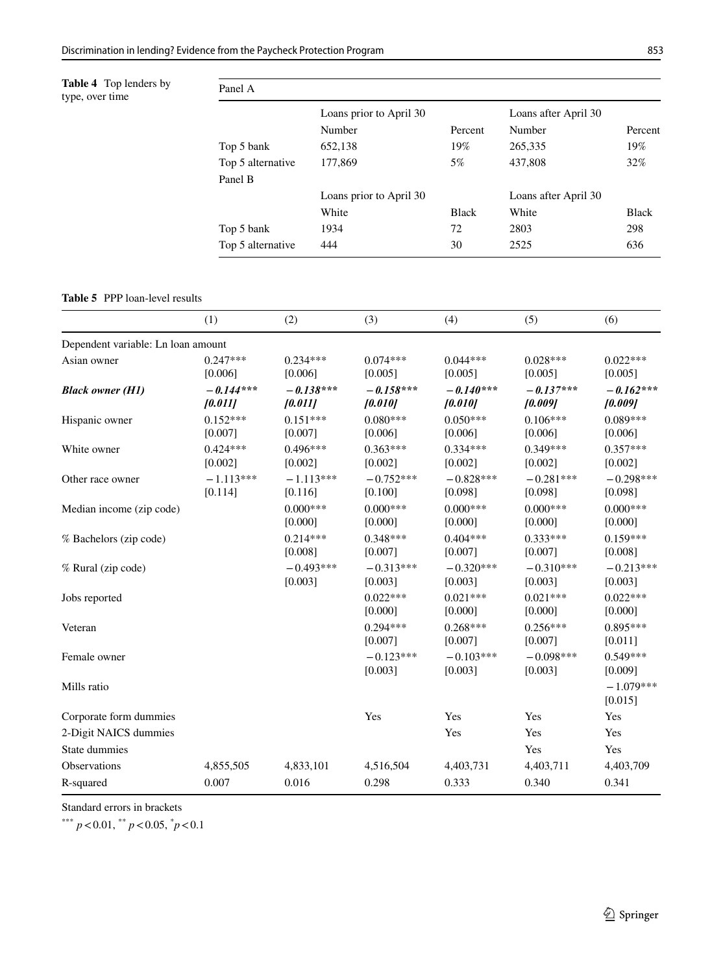<span id="page-10-0"></span>**Table 4** Top lenders by type, over time

| by | Panel A           |                         |                      |                      |              |  |  |  |  |  |
|----|-------------------|-------------------------|----------------------|----------------------|--------------|--|--|--|--|--|
|    |                   | Loans prior to April 30 | Loans after April 30 |                      |              |  |  |  |  |  |
|    |                   | Number                  | Percent              | Number               | Percent      |  |  |  |  |  |
|    | Top 5 bank        | 652,138                 | 19%                  | 265,335              | 19%          |  |  |  |  |  |
|    | Top 5 alternative | 177,869                 | 5%                   | 437,808              | 32%          |  |  |  |  |  |
|    | Panel B           |                         |                      |                      |              |  |  |  |  |  |
|    |                   | Loans prior to April 30 |                      | Loans after April 30 |              |  |  |  |  |  |
|    |                   | White                   | <b>Black</b>         | White                | <b>Black</b> |  |  |  |  |  |
|    | Top 5 bank        | 1934                    | 72                   | 2803                 | 298          |  |  |  |  |  |
|    | Top 5 alternative | 444                     | 30                   | 2525                 | 636          |  |  |  |  |  |
|    |                   |                         |                      |                      |              |  |  |  |  |  |

<span id="page-10-1"></span>**Table 5** PPP loan-level results

|                                    | (1)                    | (2)                    | (3)                    | (4)                    | (5)                    | (6)                    |
|------------------------------------|------------------------|------------------------|------------------------|------------------------|------------------------|------------------------|
| Dependent variable: Ln loan amount |                        |                        |                        |                        |                        |                        |
| Asian owner                        | $0.247***$<br>[0.006]  | $0.234***$<br>[0.006]  | $0.074***$<br>[0.005]  | $0.044***$<br>[0.005]  | $0.028***$<br>[0.005]  | $0.022***$<br>[0.005]  |
| <b>Black owner (H1)</b>            | $-0.144***$<br>[0.011] | $-0.138***$<br>[0.011] | $-0.158***$<br>10.0101 | $-0.140***$<br>[0.010] | $-0.137***$<br>[0.009] | $-0.162***$<br>[0.009] |
| Hispanic owner                     | $0.152***$<br>[0.007]  | $0.151***$<br>[0.007]  | $0.080***$<br>[0.006]  | $0.050***$<br>[0.006]  | $0.106***$<br>[0.006]  | $0.089***$<br>[0.006]  |
| White owner                        | $0.424***$<br>[0.002]  | $0.496***$<br>[0.002]  | $0.363***$<br>[0.002]  | $0.334***$<br>[0.002]  | $0.349***$<br>[0.002]  | $0.357***$<br>[0.002]  |
| Other race owner                   | $-1.113***$<br>[0.114] | $-1.113***$<br>[0.116] | $-0.752***$<br>[0.100] | $-0.828***$<br>[0.098] | $-0.281***$<br>[0.098] | $-0.298***$<br>[0.098] |
| Median income (zip code)           |                        | $0.000***$<br>[0.000]  | $0.000***$<br>[0.000]  | $0.000***$<br>[0.000]  | $0.000***$<br>[0.000]  | $0.000***$<br>[0.000]  |
| % Bachelors (zip code)             |                        | $0.214***$<br>[0.008]  | $0.348***$<br>[0.007]  | $0.404***$<br>[0.007]  | $0.333***$<br>[0.007]  | $0.159***$<br>[0.008]  |
| % Rural (zip code)                 |                        | $-0.493***$<br>[0.003] | $-0.313***$<br>[0.003] | $-0.320***$<br>[0.003] | $-0.310***$<br>[0.003] | $-0.213***$<br>[0.003] |
| Jobs reported                      |                        |                        | $0.022***$<br>[0.000]  | $0.021***$<br>[0.000]  | $0.021***$<br>[0.000]  | $0.022***$<br>[0.000]  |
| Veteran                            |                        |                        | $0.294***$<br>[0.007]  | $0.268***$<br>[0.007]  | $0.256***$<br>[0.007]  | $0.895***$<br>[0.011]  |
| Female owner                       |                        |                        | $-0.123***$<br>[0.003] | $-0.103***$<br>[0.003] | $-0.098***$<br>[0.003] | $0.549***$<br>[0.009]  |
| Mills ratio                        |                        |                        |                        |                        |                        | $-1.079***$<br>[0.015] |
| Corporate form dummies             |                        |                        | Yes                    | Yes                    | Yes                    | Yes                    |
| 2-Digit NAICS dummies              |                        |                        |                        | Yes                    | Yes                    | Yes                    |
| State dummies                      |                        |                        |                        |                        | Yes                    | Yes                    |
| Observations                       | 4,855,505              | 4,833,101              | 4,516,504              | 4,403,731              | 4,403,711              | 4,403,709              |
| R-squared                          | 0.007                  | 0.016                  | 0.298                  | 0.333                  | 0.340                  | 0.341                  |

Standard errors in brackets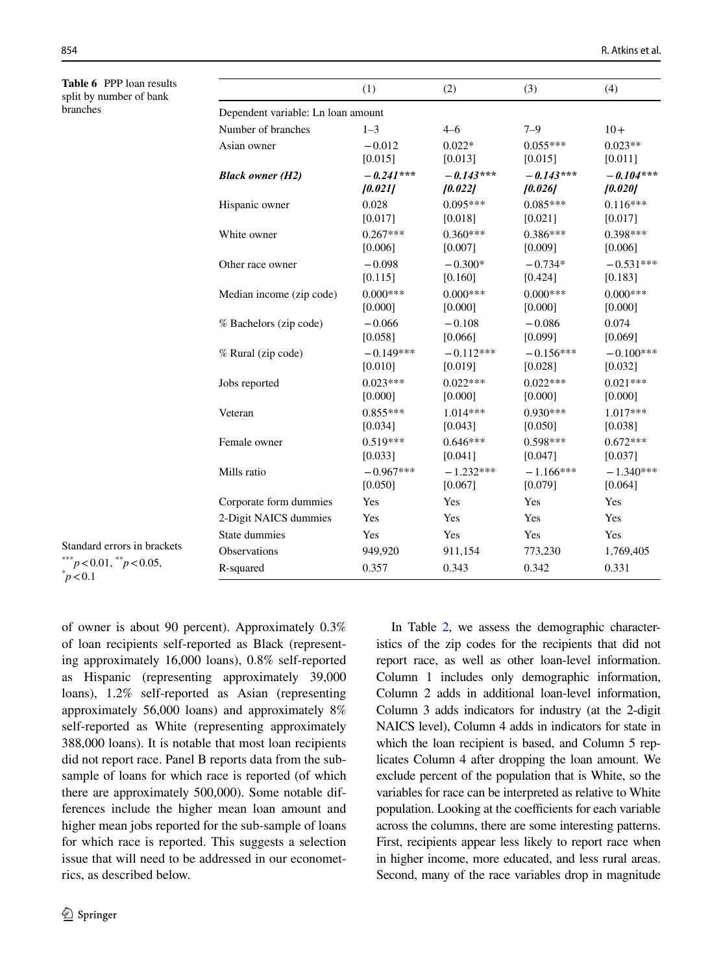<span id="page-11-0"></span>**Table 6** PPP loan results split by number of bank branches

|                                    | (1)         | (2)         | (3)         | (4)         |
|------------------------------------|-------------|-------------|-------------|-------------|
| Dependent variable: Ln loan amount |             |             |             |             |
| Number of branches                 | $1 - 3$     | $4 - 6$     | $7 - 9$     | $10+$       |
| Asian owner                        | $-0.012$    | $0.022*$    | $0.055***$  | $0.023**$   |
|                                    | [0.015]     | [0.013]     | [0.015]     | [0.011]     |
| <b>Black owner (H2)</b>            | $-0.241***$ | $-0.143***$ | $-0.143***$ | $-0.104***$ |
|                                    | [0.021]     | [0.022]     | [0.026]     | [0.020]     |
| Hispanic owner                     | 0.028       | $0.095***$  | $0.085***$  | $0.116***$  |
|                                    | [0.017]     | [0.018]     | [0.021]     | [0.017]     |
| White owner                        | $0.267***$  | $0.360***$  | $0.386***$  | $0.398***$  |
|                                    | [0.006]     | [0.007]     | [0.009]     | [0.006]     |
| Other race owner                   | $-0.098$    | $-0.300*$   | $-0.734*$   | $-0.531***$ |
|                                    | [0.115]     | [0.160]     | [0.424]     | [0.183]     |
| Median income (zip code)           | $0.000***$  | $0.000***$  | $0.000***$  | $0.000***$  |
|                                    | [0.000]     | [0.000]     | [0.000]     | [0.000]     |
| % Bachelors (zip code)             | $-0.066$    | $-0.108$    | $-0.086$    | 0.074       |
|                                    | [0.058]     | [0.066]     | [0.099]     | [0.069]     |
| % Rural (zip code)                 | $-0.149***$ | $-0.112***$ | $-0.156***$ | $-0.100***$ |
|                                    | [0.010]     | [0.019]     | [0.028]     | [0.032]     |
| Jobs reported                      | $0.023***$  | $0.022***$  | $0.022***$  | $0.021***$  |
|                                    | [0.000]     | [0.000]     | [0.000]     | [0.000]     |
| Veteran                            | $0.855***$  | $1.014***$  | $0.930***$  | 1.017***    |
|                                    | [0.034]     | [0.043]     | [0.050]     | [0.038]     |
| Female owner                       | $0.519***$  | $0.646***$  | 0.598***    | $0.672***$  |
|                                    | [0.033]     | [0.041]     | [0.047]     | [0.037]     |
| Mills ratio                        | $-0.967***$ | $-1.232***$ | $-1.166***$ | $-1.340***$ |
|                                    | [0.050]     | [0.067]     | [0.079]     | [0.064]     |
| Corporate form dummies             | Yes         | Yes         | Yes         | Yes         |
| 2-Digit NAICS dummies              | Yes         | Yes         | Yes         | Yes         |
| State dummies                      | Yes         | Yes         | Yes         | Yes         |
| <b>Observations</b>                | 949,920     | 911,154     | 773,230     | 1,769,405   |
| R-squared                          | 0.357       | 0.343       | 0.342       | 0.331       |

Standard errors in brackets  $***$ <sup>\*\*\*</sup>*p*<0.01,  $*$ <sup>\*</sup>*p*<0.05,  $\degree p < 0.1$ 

of owner is about 90 percent). Approximately 0.3% of loan recipients self-reported as Black (representing approximately 16,000 loans), 0.8% self-reported as Hispanic (representing approximately 39,000 loans), 1.2% self-reported as Asian (representing approximately 56,000 loans) and approximately 8% self-reported as White (representing approximately 388,000 loans). It is notable that most loan recipients did not report race. Panel B reports data from the subsample of loans for which race is reported (of which there are approximately 500,000). Some notable differences include the higher mean loan amount and higher mean jobs reported for the sub-sample of loans for which race is reported. This suggests a selection issue that will need to be addressed in our econometrics, as described below.

In Table [2,](#page-9-0) we assess the demographic characteristics of the zip codes for the recipients that did not report race, as well as other loan-level information. Column 1 includes only demographic information, Column 2 adds in additional loan-level information, Column 3 adds indicators for industry (at the 2-digit NAICS level), Column 4 adds in indicators for state in which the loan recipient is based, and Column 5 replicates Column 4 after dropping the loan amount. We exclude percent of the population that is White, so the variables for race can be interpreted as relative to White population. Looking at the coefficients for each variable across the columns, there are some interesting patterns. First, recipients appear less likely to report race when in higher income, more educated, and less rural areas. Second, many of the race variables drop in magnitude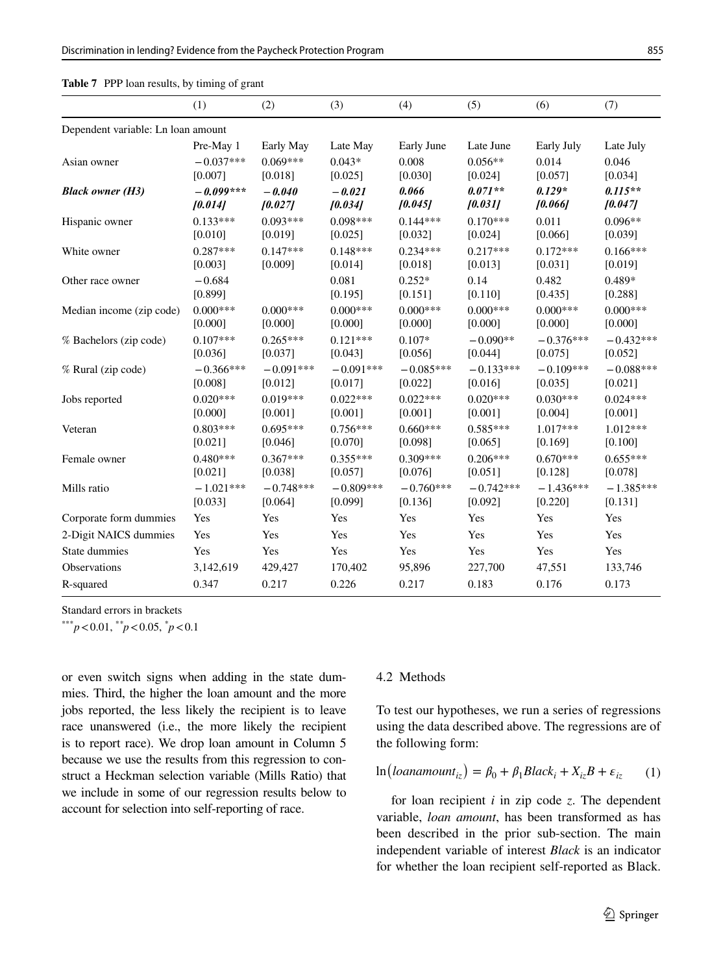<span id="page-12-0"></span>

|                                    | (1)         | (2)         | (3)         | (4)         | (5)         | (6)         | (7)         |
|------------------------------------|-------------|-------------|-------------|-------------|-------------|-------------|-------------|
| Dependent variable: Ln loan amount |             |             |             |             |             |             |             |
|                                    | Pre-May 1   | Early May   | Late May    | Early June  | Late June   | Early July  | Late July   |
| Asian owner                        | $-0.037***$ | $0.069***$  | $0.043*$    | 0.008       | $0.056**$   | 0.014       | 0.046       |
|                                    | [0.007]     | [0.018]     | [0.025]     | [0.030]     | [0.024]     | [0.057]     | [0.034]     |
| <b>Black owner (H3)</b>            | $-0.099***$ | $-0.040$    | $-0.021$    | 0.066       | $0.071**$   | $0.129*$    | $0.115**$   |
|                                    | [0.014]     | [0.027]     | [0.034]     | [0.045]     | [0.031]     | [0.066]     | [0.047]     |
| Hispanic owner                     | $0.133***$  | $0.093***$  | $0.098***$  | $0.144***$  | $0.170***$  | 0.011       | $0.096**$   |
|                                    | [0.010]     | [0.019]     | [0.025]     | [0.032]     | [0.024]     | [0.066]     | [0.039]     |
| White owner                        | $0.287***$  | $0.147***$  | $0.148***$  | $0.234***$  | $0.217***$  | $0.172***$  | $0.166***$  |
|                                    | [0.003]     | [0.009]     | [0.014]     | [0.018]     | [0.013]     | [0.031]     | [0.019]     |
| Other race owner                   | $-0.684$    |             | 0.081       | $0.252*$    | 0.14        | 0.482       | 0.489*      |
|                                    | [0.899]     |             | [0.195]     | [0.151]     | [0.110]     | [0.435]     | [0.288]     |
| Median income (zip code)           | $0.000***$  | $0.000***$  | $0.000***$  | $0.000***$  | $0.000***$  | $0.000***$  | $0.000***$  |
|                                    | [0.000]     | [0.000]     | [0.000]     | [0.000]     | [0.000]     | [0.000]     | [0.000]     |
| % Bachelors (zip code)             | $0.107***$  | $0.265***$  | $0.121***$  | $0.107*$    | $-0.090**$  | $-0.376***$ | $-0.432***$ |
|                                    | [0.036]     | [0.037]     | [0.043]     | [0.056]     | [0.044]     | [0.075]     | [0.052]     |
| % Rural (zip code)                 | $-0.366***$ | $-0.091***$ | $-0.091***$ | $-0.085***$ | $-0.133***$ | $-0.109***$ | $-0.088***$ |
|                                    | [0.008]     | [0.012]     | [0.017]     | [0.022]     | [0.016]     | [0.035]     | [0.021]     |
| Jobs reported                      | $0.020***$  | $0.019***$  | $0.022***$  | $0.022***$  | $0.020***$  | $0.030***$  | $0.024***$  |
|                                    | [0.000]     | [0.001]     | [0.001]     | [0.001]     | [0.001]     | [0.004]     | [0.001]     |
| Veteran                            | $0.803***$  | $0.695***$  | $0.756***$  | $0.660***$  | $0.585***$  | $1.017***$  | $1.012***$  |
|                                    | [0.021]     | [0.046]     | [0.070]     | [0.098]     | [0.065]     | [0.169]     | [0.100]     |
| Female owner                       | $0.480***$  | $0.367***$  | $0.355***$  | $0.309***$  | $0.206***$  | $0.670***$  | $0.655***$  |
|                                    | [0.021]     | [0.038]     | [0.057]     | [0.076]     | [0.051]     | [0.128]     | [0.078]     |
| Mills ratio                        | $-1.021***$ | $-0.748***$ | $-0.809***$ | $-0.760***$ | $-0.742***$ | $-1.436***$ | $-1.385***$ |
|                                    | [0.033]     | [0.064]     | [0.099]     | [0.136]     | [0.092]     | [0.220]     | [0.131]     |
| Corporate form dummies             | Yes         | Yes         | Yes         | Yes         | Yes         | Yes         | Yes         |
| 2-Digit NAICS dummies              | Yes         | Yes         | Yes         | Yes         | Yes         | Yes         | Yes         |
| State dummies                      | Yes         | Yes         | Yes         | Yes         | Yes         | Yes         | Yes         |
| <b>Observations</b>                | 3,142,619   | 429,427     | 170,402     | 95,896      | 227,700     | 47,551      | 133,746     |
| R-squared                          | 0.347       | 0.217       | 0.226       | 0.217       | 0.183       | 0.176       | 0.173       |

Standard errors in brackets

\*\*\**p*<0.01, \**\* p*<0.05, \* *p*<0.1

or even switch signs when adding in the state dummies. Third, the higher the loan amount and the more jobs reported, the less likely the recipient is to leave race unanswered (i.e., the more likely the recipient is to report race). We drop loan amount in Column 5 because we use the results from this regression to construct a Heckman selection variable (Mills Ratio) that we include in some of our regression results below to account for selection into self-reporting of race.

#### 4.2 Methods

To test our hypotheses, we run a series of regressions using the data described above. The regressions are of the following form:

<span id="page-12-1"></span>
$$
\ln\left( \text{loanamount}_{iz} \right) = \beta_0 + \beta_1 \text{Black}_i + X_{iz}B + \varepsilon_{iz} \tag{1}
$$

for loan recipient *i* in zip code *z*. The dependent variable, *loan amount*, has been transformed as has been described in the prior sub-section. The main independent variable of interest *Black* is an indicator for whether the loan recipient self-reported as Black.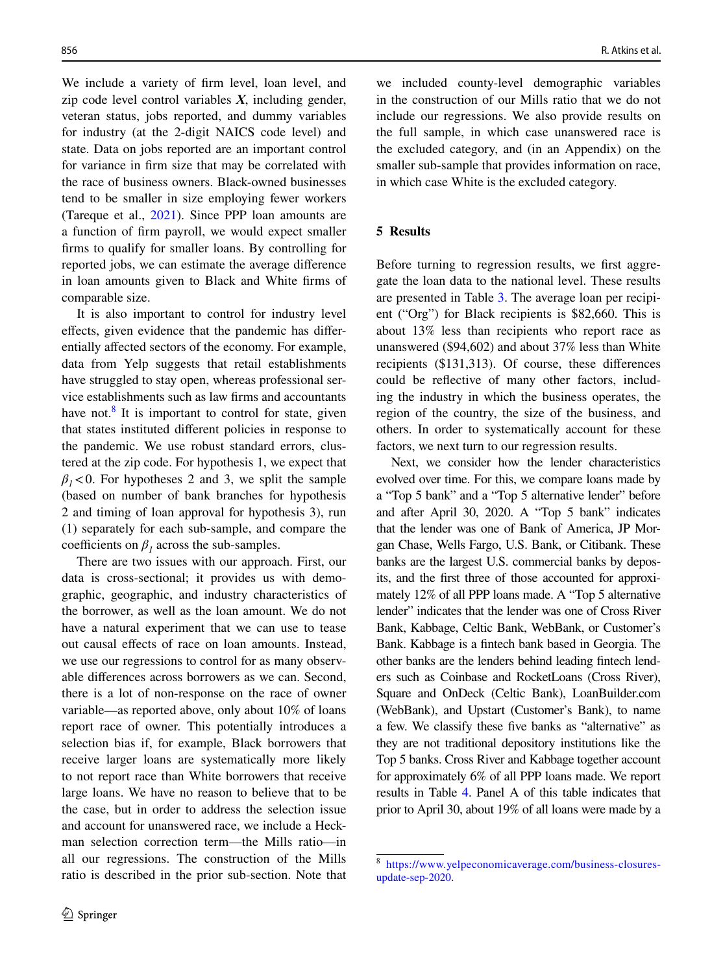We include a variety of frm level, loan level, and zip code level control variables *X*, including gender, veteran status, jobs reported, and dummy variables for industry (at the 2-digit NAICS code level) and state. Data on jobs reported are an important control for variance in frm size that may be correlated with the race of business owners. Black-owned businesses tend to be smaller in size employing fewer workers (Tareque et al., [2021\)](#page-22-8). Since PPP loan amounts are a function of frm payroll, we would expect smaller frms to qualify for smaller loans. By controlling for reported jobs, we can estimate the average diference in loan amounts given to Black and White frms of comparable size.

It is also important to control for industry level efects, given evidence that the pandemic has diferentially afected sectors of the economy. For example, data from Yelp suggests that retail establishments have struggled to stay open, whereas professional service establishments such as law frms and accountants have not.<sup>8</sup> It is important to control for state, given that states instituted diferent policies in response to the pandemic. We use robust standard errors, clustered at the zip code. For hypothesis 1, we expect that  $\beta_1$ <0. For hypotheses 2 and 3, we split the sample (based on number of bank branches for hypothesis 2 and timing of loan approval for hypothesis 3), run (1) separately for each sub-sample, and compare the coefficients on  $\beta_1$  across the sub-samples.

There are two issues with our approach. First, our data is cross-sectional; it provides us with demographic, geographic, and industry characteristics of the borrower, as well as the loan amount. We do not have a natural experiment that we can use to tease out causal efects of race on loan amounts. Instead, we use our regressions to control for as many observable diferences across borrowers as we can. Second, there is a lot of non-response on the race of owner variable—as reported above, only about 10% of loans report race of owner. This potentially introduces a selection bias if, for example, Black borrowers that receive larger loans are systematically more likely to not report race than White borrowers that receive large loans. We have no reason to believe that to be the case, but in order to address the selection issue and account for unanswered race, we include a Heckman selection correction term—the Mills ratio—in all our regressions. The construction of the Mills ratio is described in the prior sub-section. Note that

we included county-level demographic variables in the construction of our Mills ratio that we do not include our regressions. We also provide results on the full sample, in which case unanswered race is the excluded category, and (in an Appendix) on the smaller sub-sample that provides information on race, in which case White is the excluded category.

# **5 Results**

Before turning to regression results, we frst aggregate the loan data to the national level. These results are presented in Table [3.](#page-9-1) The average loan per recipient ("Org") for Black recipients is \$82,660. This is about 13% less than recipients who report race as unanswered (\$94,602) and about 37% less than White recipients (\$131,313). Of course, these diferences could be refective of many other factors, including the industry in which the business operates, the region of the country, the size of the business, and others. In order to systematically account for these factors, we next turn to our regression results.

Next, we consider how the lender characteristics evolved over time. For this, we compare loans made by a "Top 5 bank" and a "Top 5 alternative lender" before and after April 30, 2020. A "Top 5 bank" indicates that the lender was one of Bank of America, JP Morgan Chase, Wells Fargo, U.S. Bank, or Citibank. These banks are the largest U.S. commercial banks by deposits, and the frst three of those accounted for approximately 12% of all PPP loans made. A "Top 5 alternative lender" indicates that the lender was one of Cross River Bank, Kabbage, Celtic Bank, WebBank, or Customer's Bank. Kabbage is a fntech bank based in Georgia. The other banks are the lenders behind leading fntech lenders such as Coinbase and RocketLoans (Cross River), Square and OnDeck (Celtic Bank), LoanBuilder.com (WebBank), and Upstart (Customer's Bank), to name a few. We classify these fve banks as "alternative" as they are not traditional depository institutions like the Top 5 banks. Cross River and Kabbage together account for approximately 6% of all PPP loans made. We report results in Table [4.](#page-10-0) Panel A of this table indicates that prior to April 30, about 19% of all loans were made by a

<span id="page-13-0"></span><sup>8</sup> [https://www.yelpeconomicaverage.com/business-closures](https://www.yelpeconomicaverage.com/business-closures-update-sep-2020)[update-sep-2020.](https://www.yelpeconomicaverage.com/business-closures-update-sep-2020)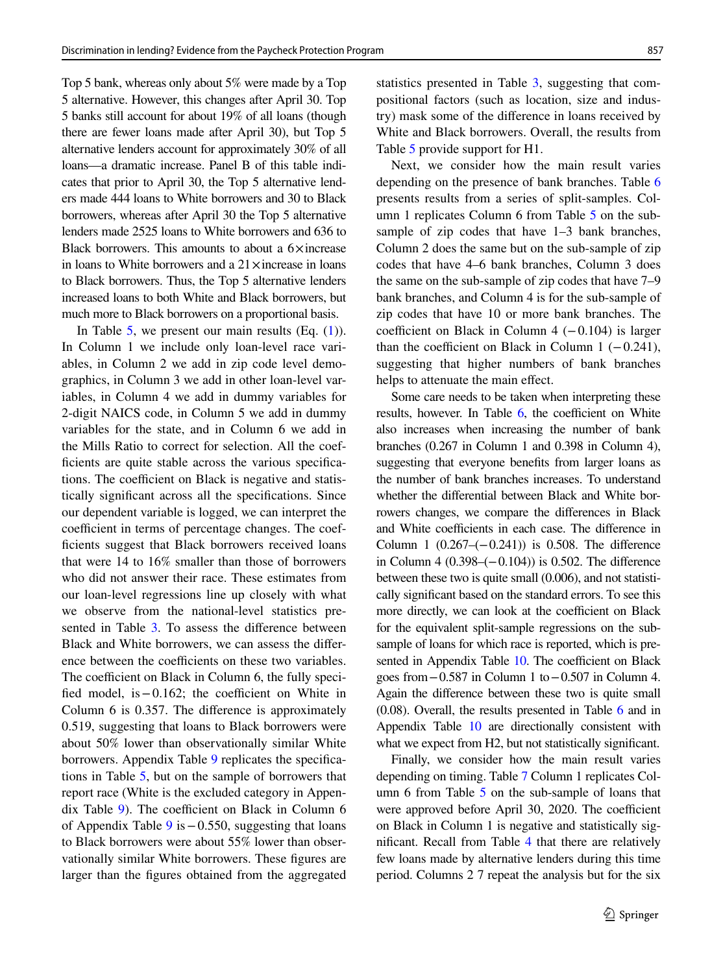Top 5 bank, whereas only about 5% were made by a Top 5 alternative. However, this changes after April 30. Top 5 banks still account for about 19% of all loans (though there are fewer loans made after April 30), but Top 5 alternative lenders account for approximately 30% of all loans—a dramatic increase. Panel B of this table indicates that prior to April 30, the Top 5 alternative lenders made 444 loans to White borrowers and 30 to Black borrowers, whereas after April 30 the Top 5 alternative lenders made 2525 loans to White borrowers and 636 to Black borrowers. This amounts to about a  $6 \times$ increase in loans to White borrowers and a  $21 \times$ increase in loans to Black borrowers. Thus, the Top 5 alternative lenders increased loans to both White and Black borrowers, but much more to Black borrowers on a proportional basis.

In Table [5,](#page-10-1) we present our main results  $(Eq. (1))$  $(Eq. (1))$  $(Eq. (1))$ . In Column 1 we include only loan-level race variables, in Column 2 we add in zip code level demographics, in Column 3 we add in other loan-level variables, in Column 4 we add in dummy variables for 2-digit NAICS code, in Column 5 we add in dummy variables for the state, and in Column 6 we add in the Mills Ratio to correct for selection. All the coefficients are quite stable across the various specifications. The coefficient on Black is negative and statistically signifcant across all the specifcations. Since our dependent variable is logged, we can interpret the coefficient in terms of percentage changes. The coefficients suggest that Black borrowers received loans that were 14 to 16% smaller than those of borrowers who did not answer their race. These estimates from our loan-level regressions line up closely with what we observe from the national-level statistics pre-sented in Table [3](#page-9-1). To assess the difference between Black and White borrowers, we can assess the diference between the coefficients on these two variables. The coefficient on Black in Column 6, the fully specified model, is  $-0.162$ ; the coefficient on White in Column 6 is 0.357. The diference is approximately 0.519, suggesting that loans to Black borrowers were about 50% lower than observationally similar White borrowers. Appendix Table [9](#page-17-0) replicates the specifications in Table [5,](#page-10-1) but on the sample of borrowers that report race (White is the excluded category in Appendix Table  $9$ ). The coefficient on Black in Column 6 of Appendix Table [9](#page-17-0) is−0.550, suggesting that loans to Black borrowers were about 55% lower than observationally similar White borrowers. These fgures are larger than the fgures obtained from the aggregated statistics presented in Table [3](#page-9-1), suggesting that compositional factors (such as location, size and industry) mask some of the diference in loans received by White and Black borrowers. Overall, the results from Table [5](#page-10-1) provide support for H1.

Next, we consider how the main result varies depending on the presence of bank branches. Table [6](#page-11-0) presents results from a series of split-samples. Column 1 replicates Column 6 from Table [5](#page-10-1) on the subsample of zip codes that have 1–3 bank branches, Column 2 does the same but on the sub-sample of zip codes that have 4–6 bank branches, Column 3 does the same on the sub-sample of zip codes that have 7–9 bank branches, and Column 4 is for the sub-sample of zip codes that have 10 or more bank branches. The coefficient on Black in Column  $4$  (−0.104) is larger than the coefficient on Black in Column 1  $(-0.241)$ , suggesting that higher numbers of bank branches helps to attenuate the main effect.

Some care needs to be taken when interpreting these results, however. In Table  $6$ , the coefficient on White also increases when increasing the number of bank branches (0.267 in Column 1 and 0.398 in Column 4), suggesting that everyone benefts from larger loans as the number of bank branches increases. To understand whether the diferential between Black and White borrowers changes, we compare the diferences in Black and White coefficients in each case. The difference in Column 1 (0.267–(−0.241)) is 0.508. The diference in Column 4 (0.398–(−0.104)) is 0.502. The diference between these two is quite small (0.006), and not statistically signifcant based on the standard errors. To see this more directly, we can look at the coefficient on Black for the equivalent split-sample regressions on the subsample of loans for which race is reported, which is pre-sented in Appendix Table [10](#page-18-0). The coefficient on Black goes from−0.587 in Column 1 to−0.507 in Column 4. Again the diference between these two is quite small (0.08). Overall, the results presented in Table [6](#page-11-0) and in Appendix Table [10](#page-18-0) are directionally consistent with what we expect from H2, but not statistically significant.

Finally, we consider how the main result varies depending on timing. Table [7](#page-12-0) Column 1 replicates Column  $6$  from Table  $5$  on the sub-sample of loans that were approved before April 30, 2020. The coefficient on Black in Column 1 is negative and statistically signifcant. Recall from Table [4](#page-10-0) that there are relatively few loans made by alternative lenders during this time period. Columns 2 7 repeat the analysis but for the six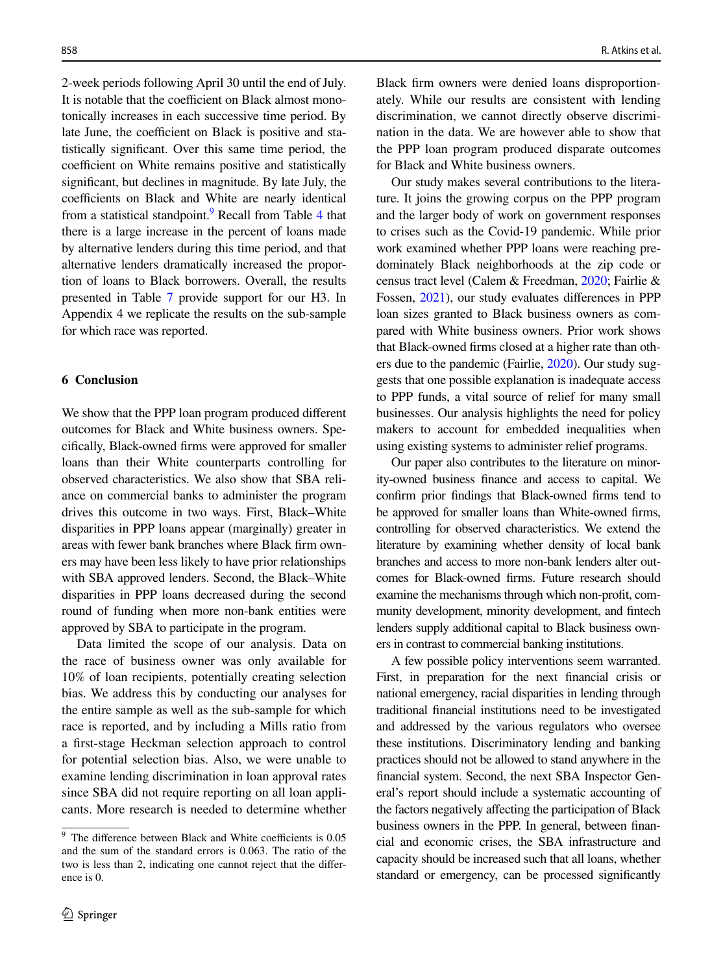2-week periods following April 30 until the end of July. It is notable that the coefficient on Black almost monotonically increases in each successive time period. By late June, the coefficient on Black is positive and statistically signifcant. Over this same time period, the coefficient on White remains positive and statistically signifcant, but declines in magnitude. By late July, the coefficients on Black and White are nearly identical from a statistical standpoint.<sup>[9](#page-15-0)</sup> Recall from Table [4](#page-10-0) that there is a large increase in the percent of loans made by alternative lenders during this time period, and that alternative lenders dramatically increased the proportion of loans to Black borrowers. Overall, the results presented in Table [7](#page-12-0) provide support for our H3. In Appendix 4 we replicate the results on the sub-sample for which race was reported.

# **6 Conclusion**

We show that the PPP loan program produced diferent outcomes for Black and White business owners. Specifcally, Black-owned frms were approved for smaller loans than their White counterparts controlling for observed characteristics. We also show that SBA reliance on commercial banks to administer the program drives this outcome in two ways. First, Black–White disparities in PPP loans appear (marginally) greater in areas with fewer bank branches where Black frm owners may have been less likely to have prior relationships with SBA approved lenders. Second, the Black–White disparities in PPP loans decreased during the second round of funding when more non-bank entities were approved by SBA to participate in the program.

Data limited the scope of our analysis. Data on the race of business owner was only available for 10% of loan recipients, potentially creating selection bias. We address this by conducting our analyses for the entire sample as well as the sub-sample for which race is reported, and by including a Mills ratio from a frst-stage Heckman selection approach to control for potential selection bias. Also, we were unable to examine lending discrimination in loan approval rates since SBA did not require reporting on all loan applicants. More research is needed to determine whether Black frm owners were denied loans disproportionately. While our results are consistent with lending discrimination, we cannot directly observe discrimination in the data. We are however able to show that the PPP loan program produced disparate outcomes for Black and White business owners.

Our study makes several contributions to the literature. It joins the growing corpus on the PPP program and the larger body of work on government responses to crises such as the Covid-19 pandemic. While prior work examined whether PPP loans were reaching predominately Black neighborhoods at the zip code or census tract level (Calem & Freedman, [2020;](#page-20-1) Fairlie & Fossen, [2021](#page-21-3)), our study evaluates diferences in PPP loan sizes granted to Black business owners as compared with White business owners. Prior work shows that Black-owned frms closed at a higher rate than others due to the pandemic (Fairlie, [2020\)](#page-21-2). Our study suggests that one possible explanation is inadequate access to PPP funds, a vital source of relief for many small businesses. Our analysis highlights the need for policy makers to account for embedded inequalities when using existing systems to administer relief programs.

Our paper also contributes to the literature on minority-owned business fnance and access to capital. We confrm prior fndings that Black-owned frms tend to be approved for smaller loans than White-owned frms, controlling for observed characteristics. We extend the literature by examining whether density of local bank branches and access to more non-bank lenders alter outcomes for Black-owned frms. Future research should examine the mechanisms through which non-proft, community development, minority development, and fntech lenders supply additional capital to Black business owners in contrast to commercial banking institutions.

A few possible policy interventions seem warranted. First, in preparation for the next fnancial crisis or national emergency, racial disparities in lending through traditional fnancial institutions need to be investigated and addressed by the various regulators who oversee these institutions. Discriminatory lending and banking practices should not be allowed to stand anywhere in the fnancial system. Second, the next SBA Inspector General's report should include a systematic accounting of the factors negatively affecting the participation of Black business owners in the PPP. In general, between fnancial and economic crises, the SBA infrastructure and capacity should be increased such that all loans, whether standard or emergency, can be processed signifcantly

<span id="page-15-0"></span> $\frac{9}{9}$  The difference between Black and White coefficients is 0.05 and the sum of the standard errors is 0.063. The ratio of the two is less than 2, indicating one cannot reject that the diference is 0.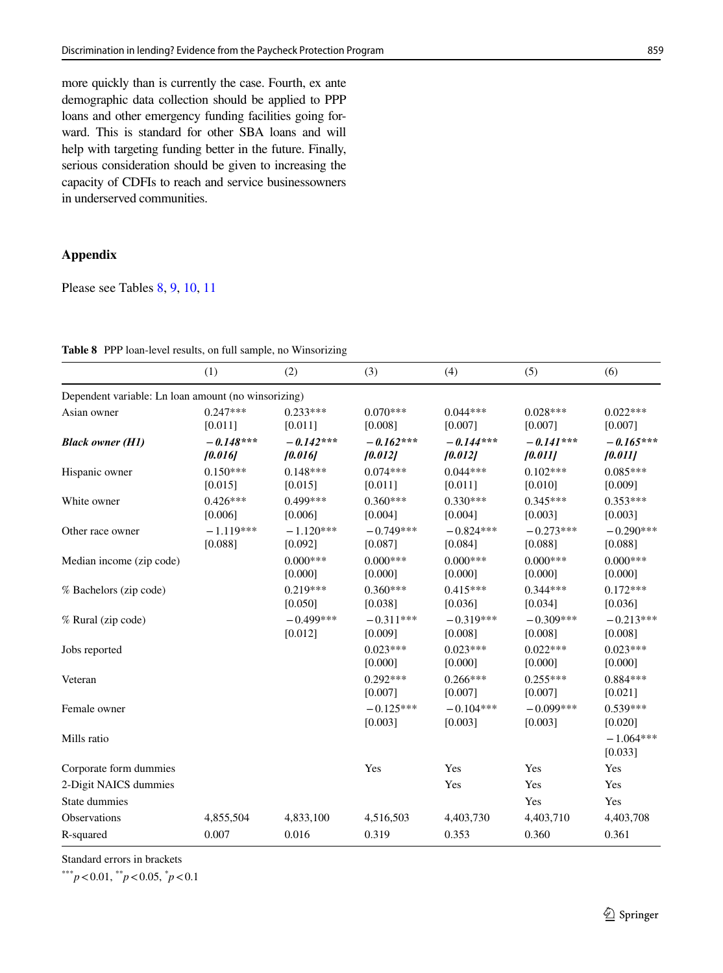more quickly than is currently the case. Fourth, ex ante demographic data collection should be applied to PPP loans and other emergency funding facilities going forward. This is standard for other SBA loans and will help with targeting funding better in the future. Finally, serious consideration should be given to increasing the capacity of CDFIs to reach and service businessowners in underserved communities.

# **Appendix**

Please see Tables [8,](#page-16-0) [9,](#page-17-0) [10,](#page-18-0) [11](#page-19-0)

|                                                     | (1)                    | (2)                    | (3)                    | (4)                    | (5)                    | (6)                    |
|-----------------------------------------------------|------------------------|------------------------|------------------------|------------------------|------------------------|------------------------|
| Dependent variable: Ln loan amount (no winsorizing) |                        |                        |                        |                        |                        |                        |
| Asian owner                                         | $0.247***$<br>[0.011]  | $0.233***$<br>[0.011]  | $0.070***$<br>[0.008]  | $0.044***$<br>[0.007]  | $0.028***$<br>[0.007]  | $0.022***$<br>[0.007]  |
| <b>Black owner (H1)</b>                             | $-0.148***$<br>[0.016] | $-0.142***$<br>[0.016] | $-0.162***$<br>[0.012] | $-0.144***$<br>[0.012] | $-0.141***$<br>[0.011] | $-0.165***$<br>[0.011] |
| Hispanic owner                                      | $0.150***$<br>[0.015]  | $0.148***$<br>[0.015]  | $0.074***$<br>[0.011]  | $0.044***$<br>[0.011]  | $0.102***$<br>[0.010]  | $0.085***$<br>[0.009]  |
| White owner                                         | $0.426***$<br>[0.006]  | $0.499***$<br>[0.006]  | $0.360***$<br>[0.004]  | $0.330***$<br>[0.004]  | $0.345***$<br>[0.003]  | $0.353***$<br>[0.003]  |
| Other race owner                                    | $-1.119***$<br>[0.088] | $-1.120***$<br>[0.092] | $-0.749***$<br>[0.087] | $-0.824***$<br>[0.084] | $-0.273***$<br>[0.088] | $-0.290***$<br>[0.088] |
| Median income (zip code)                            |                        | $0.000***$<br>[0.000]  | $0.000***$<br>[0.000]  | $0.000***$<br>[0.000]  | $0.000***$<br>[0.000]  | $0.000***$<br>[0.000]  |
| % Bachelors (zip code)                              |                        | $0.219***$<br>[0.050]  | $0.360***$<br>[0.038]  | $0.415***$<br>[0.036]  | $0.344***$<br>[0.034]  | $0.172***$<br>[0.036]  |
| % Rural (zip code)                                  |                        | $-0.499***$<br>[0.012] | $-0.311***$<br>[0.009] | $-0.319***$<br>[0.008] | $-0.309***$<br>[0.008] | $-0.213***$<br>[0.008] |
| Jobs reported                                       |                        |                        | $0.023***$<br>[0.000]  | $0.023***$<br>[0.000]  | $0.022***$<br>[0.000]  | $0.023***$<br>[0.000]  |
| Veteran                                             |                        |                        | $0.292***$<br>[0.007]  | $0.266***$<br>[0.007]  | $0.255***$<br>[0.007]  | $0.884***$<br>[0.021]  |
| Female owner                                        |                        |                        | $-0.125***$<br>[0.003] | $-0.104***$<br>[0.003] | $-0.099***$<br>[0.003] | $0.539***$<br>[0.020]  |
| Mills ratio                                         |                        |                        |                        |                        |                        | $-1.064***$<br>[0.033] |
| Corporate form dummies                              |                        |                        | Yes                    | Yes                    | Yes                    | Yes                    |
| 2-Digit NAICS dummies                               |                        |                        |                        | Yes                    | Yes                    | Yes                    |
| State dummies                                       |                        |                        |                        |                        | Yes                    | Yes                    |
| Observations                                        | 4,855,504              | 4,833,100              | 4,516,503              | 4,403,730              | 4,403,710              | 4,403,708              |
| R-squared                                           | 0.007                  | 0.016                  | 0.319                  | 0.353                  | 0.360                  | 0.361                  |

<span id="page-16-0"></span>

| Table 8 PPP loan-level results, on full sample, no Winsorizing |  |
|----------------------------------------------------------------|--|
|----------------------------------------------------------------|--|

Standard errors in brackets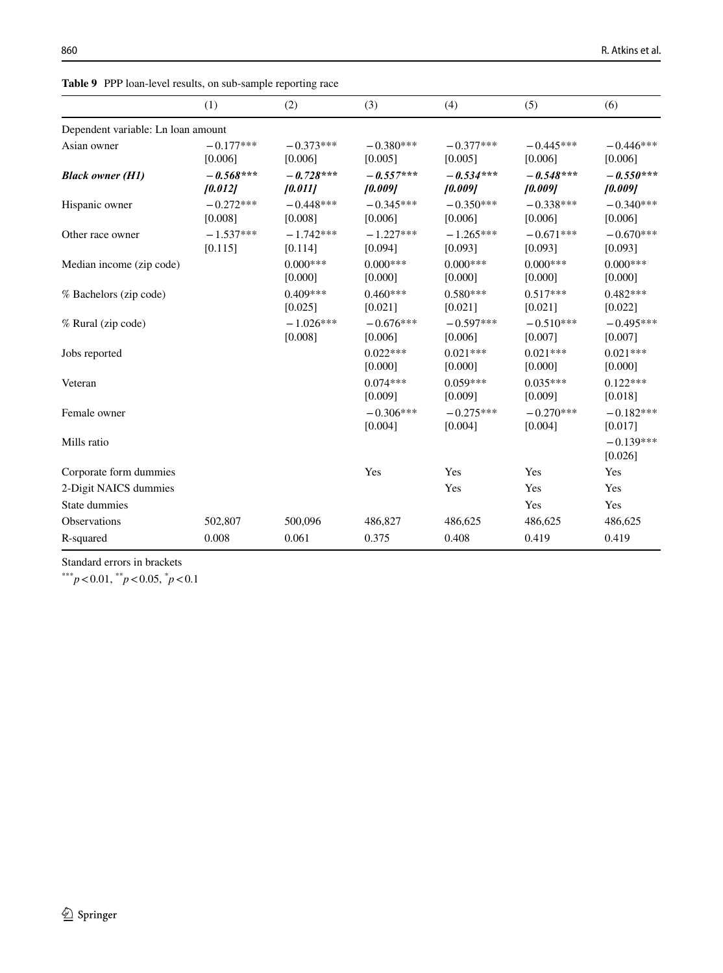<span id="page-17-0"></span>**Table 9** PPP loan-level results, on sub-sample reporting race

|                                    | (1)                    | (2)                    | (3)                    | (4)                    | (5)                    | (6)                    |
|------------------------------------|------------------------|------------------------|------------------------|------------------------|------------------------|------------------------|
| Dependent variable: Ln loan amount |                        |                        |                        |                        |                        |                        |
| Asian owner                        | $-0.177***$<br>[0.006] | $-0.373***$<br>[0.006] | $-0.380***$<br>[0.005] | $-0.377***$<br>[0.005] | $-0.445***$<br>[0.006] | $-0.446***$<br>[0.006] |
| <b>Black owner (H1)</b>            | $-0.568***$<br>[0.012] | $-0.728***$<br>[0.011] | $-0.557***$<br>[0.009] | $-0.534***$<br>[0.009] | $-0.548***$<br>[0.009] | $-0.550***$<br>[0.009] |
| Hispanic owner                     | $-0.272***$<br>[0.008] | $-0.448***$<br>[0.008] | $-0.345***$<br>[0.006] | $-0.350***$<br>[0.006] | $-0.338***$<br>[0.006] | $-0.340***$<br>[0.006] |
| Other race owner                   | $-1.537***$<br>[0.115] | $-1.742***$<br>[0.114] | $-1.227***$<br>[0.094] | $-1.265***$<br>[0.093] | $-0.671***$<br>[0.093] | $-0.670***$<br>[0.093] |
| Median income (zip code)           |                        | $0.000***$<br>[0.000]  | $0.000***$<br>[0.000]  | $0.000***$<br>[0.000]  | $0.000***$<br>[0.000]  | $0.000***$<br>[0.000]  |
| % Bachelors (zip code)             |                        | $0.409***$<br>[0.025]  | $0.460***$<br>[0.021]  | $0.580***$<br>[0.021]  | $0.517***$<br>[0.021]  | $0.482***$<br>[0.022]  |
| % Rural (zip code)                 |                        | $-1.026***$<br>[0.008] | $-0.676***$<br>[0.006] | $-0.597***$<br>[0.006] | $-0.510***$<br>[0.007] | $-0.495***$<br>[0.007] |
| Jobs reported                      |                        |                        | $0.022***$<br>[0.000]  | $0.021***$<br>[0.000]  | $0.021***$<br>[0.000]  | $0.021***$<br>[0.000]  |
| Veteran                            |                        |                        | $0.074***$<br>[0.009]  | $0.059***$<br>[0.009]  | $0.035***$<br>[0.009]  | $0.122***$<br>[0.018]  |
| Female owner                       |                        |                        | $-0.306***$<br>[0.004] | $-0.275***$<br>[0.004] | $-0.270***$<br>[0.004] | $-0.182***$<br>[0.017] |
| Mills ratio                        |                        |                        |                        |                        |                        | $-0.139***$<br>[0.026] |
| Corporate form dummies             |                        |                        | Yes                    | Yes                    | Yes                    | Yes                    |
| 2-Digit NAICS dummies              |                        |                        |                        | Yes                    | Yes                    | Yes                    |
| State dummies                      |                        |                        |                        |                        | Yes                    | Yes                    |
| <b>Observations</b>                | 502,807                | 500,096                | 486,827                | 486,625                | 486,625                | 486,625                |
| R-squared                          | 0.008                  | 0.061                  | 0.375                  | 0.408                  | 0.419                  | 0.419                  |

Standard errors in brackets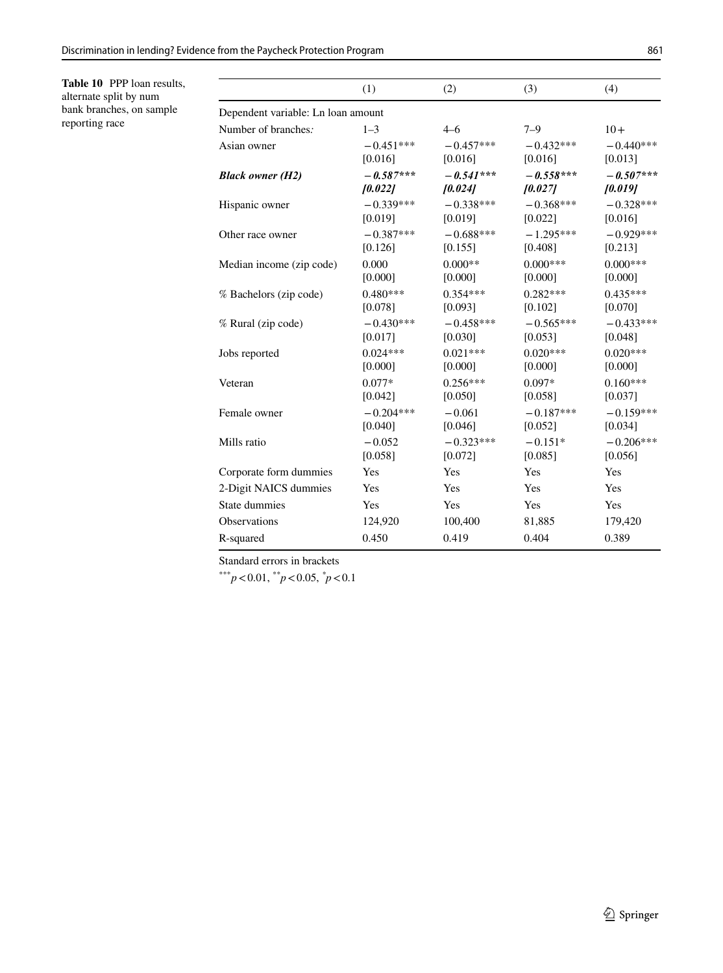<span id="page-18-0"></span>**Table 10** PPP loan results, alternate split by num bank branches, on sample reporting race

|                                    | (1)         | (2)         | (3)         | (4)         |
|------------------------------------|-------------|-------------|-------------|-------------|
| Dependent variable: Ln loan amount |             |             |             |             |
| Number of branches.                | $1 - 3$     | $4 - 6$     | $7 - 9$     | $10+$       |
| Asian owner                        | $-0.451***$ | $-0.457***$ | $-0.432***$ | $-0.440***$ |
|                                    | [0.016]     | [0.016]     | [0.016]     | [0.013]     |
| <b>Black owner (H2)</b>            | $-0.587***$ | $-0.541***$ | $-0.558***$ | $-0.507***$ |
|                                    | 10.0221     | [0.024]     | [0.027]     | [0.019]     |
| Hispanic owner                     | $-0.339***$ | $-0.338***$ | $-0.368***$ | $-0.328***$ |
|                                    | [0.019]     | [0.019]     | [0.022]     | [0.016]     |
| Other race owner                   | $-0.387***$ | $-0.688***$ | $-1.295***$ | $-0.929***$ |
|                                    | [0.126]     | [0.155]     | [0.408]     | [0.213]     |
| Median income (zip code)           | 0.000       | $0.000**$   | $0.000***$  | $0.000***$  |
|                                    | [0.000]     | [0.000]     | [0.000]     | [0.000]     |
| % Bachelors (zip code)             | $0.480***$  | $0.354***$  | $0.282***$  | $0.435***$  |
|                                    | [0.078]     | [0.093]     | [0.102]     | [0.070]     |
| % Rural (zip code)                 | $-0.430***$ | $-0.458***$ | $-0.565***$ | $-0.433***$ |
|                                    | [0.017]     | [0.030]     | [0.053]     | [0.048]     |
| Jobs reported                      | $0.024***$  | $0.021***$  | $0.020***$  | $0.020***$  |
|                                    | [0.000]     | [0.000]     | [0.000]     | [0.000]     |
| Veteran                            | $0.077*$    | $0.256***$  | $0.097*$    | $0.160***$  |
|                                    | [0.042]     | [0.050]     | [0.058]     | [0.037]     |
| Female owner                       | $-0.204***$ | $-0.061$    | $-0.187***$ | $-0.159***$ |
|                                    | [0.040]     | [0.046]     | [0.052]     | [0.034]     |
| Mills ratio                        | $-0.052$    | $-0.323***$ | $-0.151*$   | $-0.206***$ |
|                                    | [0.058]     | [0.072]     | [0.085]     | [0.056]     |
| Corporate form dummies             | Yes         | Yes         | Yes         | Yes         |
| 2-Digit NAICS dummies              | Yes         | Yes         | Yes         | Yes         |
| State dummies                      | Yes         | Yes         | Yes         | Yes         |
| Observations                       | 124,920     | 100,400     | 81,885      | 179,420     |
| R-squared                          | 0.450       | 0.419       | 0.404       | 0.389       |
|                                    |             |             |             |             |

Standard errors in brackets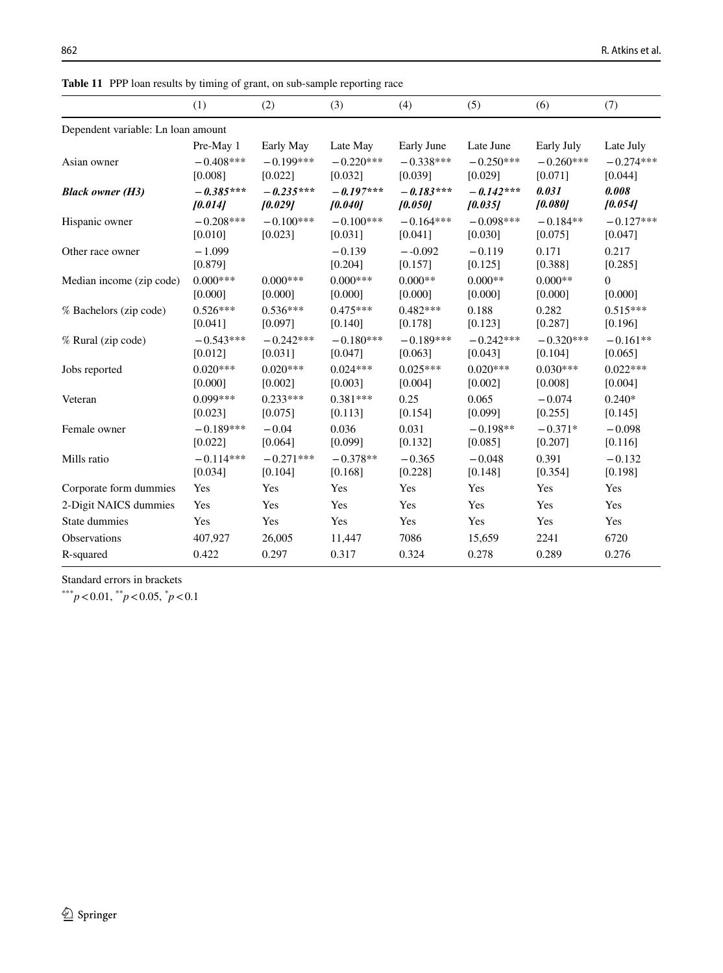<span id="page-19-0"></span>**Table 11** PPP loan results by timing of grant, on sub-sample reporting race

|                                    | (1)                    | (2)                    | (3)                    | (4)                    | (5)                    | (6)              | (7)                 |  |
|------------------------------------|------------------------|------------------------|------------------------|------------------------|------------------------|------------------|---------------------|--|
| Dependent variable: Ln loan amount |                        |                        |                        |                        |                        |                  |                     |  |
|                                    | Pre-May 1              | Early May              | Late May               | Early June             | Late June              | Early July       | Late July           |  |
| Asian owner                        | $-0.408***$            | $-0.199***$            | $-0.220***$            | $-0.338***$            | $-0.250***$            | $-0.260***$      | $-0.274***$         |  |
|                                    | [0.008]                | [0.022]                | [0.032]                | [0.039]                | [0.029]                | [0.071]          | [0.044]             |  |
| <b>Black owner (H3)</b>            | $-0.385***$<br>[0.014] | $-0.235***$<br>[0.029] | $-0.197***$<br>[0.040] | $-0.183***$<br>[0.050] | $-0.142***$<br>[0.035] | 0.031<br>[0.080] | 0.008<br>10.0541    |  |
|                                    | $-0.208***$            | $-0.100***$            | $-0.100***$            | $-0.164***$            | $-0.098***$            | $-0.184**$       | $-0.127***$         |  |
| Hispanic owner                     | [0.010]                | [0.023]                | [0.031]                | [0.041]                | [0.030]                | [0.075]          | [0.047]             |  |
| Other race owner                   | $-1.099$               |                        | $-0.139$               | $-.0.092$              | $-0.119$               | 0.171            | 0.217               |  |
|                                    | [0.879]                |                        | [0.204]                | [0.157]                | [0.125]                | [0.388]          | [0.285]             |  |
| Median income (zip code)           | $0.000***$             | $0.000***$             | $0.000***$             | $0.000**$              | $0.000**$              | $0.000**$        | $\overline{0}$      |  |
|                                    | [0.000]                | [0.000]                | [0.000]                | [0.000]                | [0.000]                | [0.000]          | [0.000]             |  |
| % Bachelors (zip code)             | $0.526***$             | $0.536***$             | $0.475***$             | $0.482***$             | 0.188                  | 0.282            | $0.515***$          |  |
|                                    | [0.041]                | [0.097]                | [0.140]                | [0.178]                | [0.123]                | [0.287]          | [0.196]             |  |
| % Rural (zip code)                 | $-0.543***$            | $-0.242***$            | $-0.180***$            | $-0.189***$            | $-0.242***$            | $-0.320***$      | $-0.161**$          |  |
|                                    | [0.012]                | [0.031]                | [0.047]                | [0.063]                | [0.043]                | [0.104]          | [0.065]             |  |
| Jobs reported                      | $0.020***$             | $0.020***$             | $0.024***$             | $0.025***$             | $0.020***$             | $0.030***$       | $0.022***$          |  |
|                                    | [0.000]                | [0.002]                | [0.003]                | [0.004]                | [0.002]                | [0.008]          | [0.004]             |  |
| Veteran                            | $0.099***$             | $0.233***$             | $0.381***$             | 0.25                   | 0.065                  | $-0.074$         | $0.240*$            |  |
|                                    | [0.023]                | [0.075]                | [0.113]                | [0.154]                | [0.099]                | [0.255]          | [0.145]             |  |
| Female owner                       | $-0.189***$            | $-0.04$                | 0.036                  | 0.031                  | $-0.198**$             | $-0.371*$        | $-0.098$            |  |
|                                    | [0.022]                | [0.064]                | [0.099]                | [0.132]                | [0.085]                | [0.207]          | [0.116]             |  |
| Mills ratio                        | $-0.114***$<br>[0.034] | $-0.271***$<br>[0.104] | $-0.378**$<br>[0.168]  | $-0.365$<br>[0.228]    | $-0.048$<br>[0.148]    | 0.391<br>[0.354] | $-0.132$<br>[0.198] |  |
| Corporate form dummies             | Yes                    | Yes                    | Yes                    | Yes                    | Yes                    | Yes              | Yes                 |  |
| 2-Digit NAICS dummies              | Yes                    | Yes                    | Yes                    | Yes                    | Yes                    | Yes              | Yes                 |  |
| State dummies                      | Yes                    | Yes                    | Yes                    | Yes                    | Yes                    | Yes              | Yes                 |  |
| Observations                       | 407,927                | 26,005                 | 11,447                 | 7086                   | 15,659                 | 2241             | 6720                |  |
| R-squared                          | 0.422                  | 0.297                  | 0.317                  | 0.324                  | 0.278                  | 0.289            | 0.276               |  |

Standard errors in brackets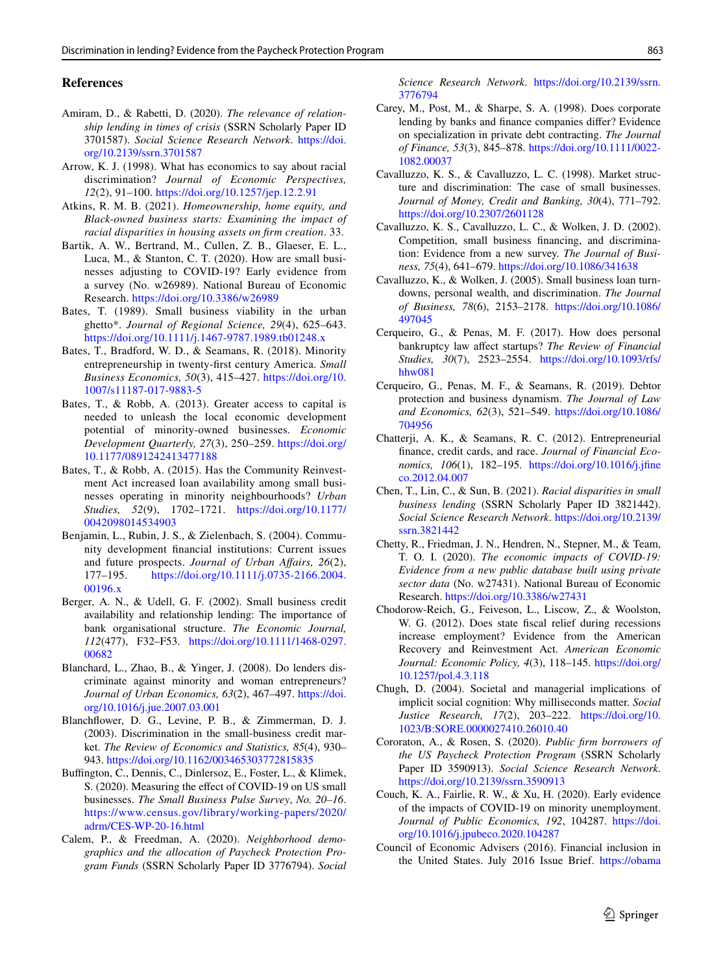#### **References**

- <span id="page-20-18"></span>Amiram, D., & Rabetti, D. (2020). *The relevance of relationship lending in times of crisis* (SSRN Scholarly Paper ID 3701587). *Social Science Research Network*. [https://doi.](https://doi.org/10.2139/ssrn.3701587) [org/10.2139/ssrn.3701587](https://doi.org/10.2139/ssrn.3701587)
- <span id="page-20-12"></span>Arrow, K. J. (1998). What has economics to say about racial discrimination? *Journal of Economic Perspectives, 12*(2), 91–100. <https://doi.org/10.1257/jep.12.2.91>
- <span id="page-20-11"></span>Atkins, R. M. B. (2021). *Homeownership, home equity, and Black-owned business starts: Examining the impact of racial disparities in housing assets on frm creation*. 33.
- <span id="page-20-7"></span>Bartik, A. W., Bertrand, M., Cullen, Z. B., Glaeser, E. L., Luca, M., & Stanton, C. T. (2020). How are small businesses adjusting to COVID-19? Early evidence from a survey (No. w26989). National Bureau of Economic Research. <https://doi.org/10.3386/w26989>
- <span id="page-20-14"></span>Bates, T. (1989). Small business viability in the urban ghetto\*. *Journal of Regional Science, 29*(4), 625–643. <https://doi.org/10.1111/j.1467-9787.1989.tb01248.x>
- <span id="page-20-3"></span>Bates, T., Bradford, W. D., & Seamans, R. (2018). Minority entrepreneurship in twenty-frst century America. *Small Business Economics, 50*(3), 415–427. [https://doi.org/10.](https://doi.org/10.1007/s11187-017-9883-5) [1007/s11187-017-9883-5](https://doi.org/10.1007/s11187-017-9883-5)
- <span id="page-20-2"></span>Bates, T., & Robb, A. (2013). Greater access to capital is needed to unleash the local economic development potential of minority-owned businesses. *Economic Development Quarterly, 27*(3), 250–259. [https://doi.org/](https://doi.org/10.1177/0891242413477188) [10.1177/0891242413477188](https://doi.org/10.1177/0891242413477188)
- Bates, T., & Robb, A. (2015). Has the Community Reinvestment Act increased loan availability among small businesses operating in minority neighbourhoods? *Urban Studies, 52*(9), 1702–1721. [https://doi.org/10.1177/](https://doi.org/10.1177/0042098014534903) [0042098014534903](https://doi.org/10.1177/0042098014534903)
- Benjamin, L., Rubin, J. S., & Zielenbach, S. (2004). Community development fnancial institutions: Current issues and future prospects. *Journal of Urban Afairs, 26*(2), 177–195. [https://doi.org/10.1111/j.0735-2166.2004.](https://doi.org/10.1111/j.0735-2166.2004.00196.x) [00196.x](https://doi.org/10.1111/j.0735-2166.2004.00196.x)
- <span id="page-20-16"></span>Berger, A. N., & Udell, G. F. (2002). Small business credit availability and relationship lending: The importance of bank organisational structure. *The Economic Journal, 112*(477), F32–F53. [https://doi.org/10.1111/1468-0297.](https://doi.org/10.1111/1468-0297.00682) [00682](https://doi.org/10.1111/1468-0297.00682)
- <span id="page-20-4"></span>Blanchard, L., Zhao, B., & Yinger, J. (2008). Do lenders discriminate against minority and woman entrepreneurs? *Journal of Urban Economics, 63*(2), 467–497. [https://doi.](https://doi.org/10.1016/j.jue.2007.03.001) [org/10.1016/j.jue.2007.03.001](https://doi.org/10.1016/j.jue.2007.03.001)
- <span id="page-20-9"></span>Blanchfower, D. G., Levine, P. B., & Zimmerman, D. J. (2003). Discrimination in the small-business credit market. *The Review of Economics and Statistics, 85*(4), 930– 943. <https://doi.org/10.1162/003465303772815835>
- <span id="page-20-8"></span>Buffington, C., Dennis, C., Dinlersoz, E., Foster, L., & Klimek, S. (2020). Measuring the efect of COVID-19 on US small businesses. *The Small Business Pulse Survey*, *No. 20–16*. [https://www.census.gov/library/working-papers/2020/](https://www.census.gov/library/working-papers/2020/adrm/CES-WP-20-16.html) [adrm/CES-WP-20-16.html](https://www.census.gov/library/working-papers/2020/adrm/CES-WP-20-16.html)
- <span id="page-20-1"></span>Calem, P., & Freedman, A. (2020). *Neighborhood demographics and the allocation of Paycheck Protection Program Funds* (SSRN Scholarly Paper ID 3776794). *Social*

*Science Research Network*. [https://doi.org/10.2139/ssrn.](https://doi.org/10.2139/ssrn.3776794) [3776794](https://doi.org/10.2139/ssrn.3776794)

- <span id="page-20-21"></span>Carey, M., Post, M., & Sharpe, S. A. (1998). Does corporate lending by banks and fnance companies difer? Evidence on specialization in private debt contracting. *The Journal of Finance, 53*(3), 845–878. [https://doi.org/10.1111/0022-](https://doi.org/10.1111/0022-1082.00037) [1082.00037](https://doi.org/10.1111/0022-1082.00037)
- <span id="page-20-19"></span>Cavalluzzo, K. S., & Cavalluzzo, L. C. (1998). Market structure and discrimination: The case of small businesses. *Journal of Money, Credit and Banking, 30*(4), 771–792. <https://doi.org/10.2307/2601128>
- <span id="page-20-20"></span>Cavalluzzo, K. S., Cavalluzzo, L. C., & Wolken, J. D. (2002). Competition, small business fnancing, and discrimination: Evidence from a new survey. *The Journal of Business, 75*(4), 641–679.<https://doi.org/10.1086/341638>
- <span id="page-20-13"></span>Cavalluzzo, K., & Wolken, J. (2005). Small business loan turndowns, personal wealth, and discrimination. *The Journal of Business, 78*(6), 2153–2178. [https://doi.org/10.1086/](https://doi.org/10.1086/497045) [497045](https://doi.org/10.1086/497045)
- Cerqueiro, G., & Penas, M. F. (2017). How does personal bankruptcy law afect startups? *The Review of Financial Studies, 30*(7), 2523–2554. [https://doi.org/10.1093/rfs/](https://doi.org/10.1093/rfs/hhw081) [hhw081](https://doi.org/10.1093/rfs/hhw081)
- Cerqueiro, G., Penas, M. F., & Seamans, R. (2019). Debtor protection and business dynamism. *The Journal of Law and Economics, 62*(3), 521–549. [https://doi.org/10.1086/](https://doi.org/10.1086/704956) [704956](https://doi.org/10.1086/704956)
- <span id="page-20-10"></span>Chatterji, A. K., & Seamans, R. C. (2012). Entrepreneurial fnance, credit cards, and race. *Journal of Financial Economics, 106*(1), 182–195. [https://doi.org/10.1016/j.jfne](https://doi.org/10.1016/j.jfineco.2012.04.007) [co.2012.04.007](https://doi.org/10.1016/j.jfineco.2012.04.007)
- <span id="page-20-5"></span>Chen, T., Lin, C., & Sun, B. (2021). *Racial disparities in small business lending* (SSRN Scholarly Paper ID 3821442). *Social Science Research Network*. [https://doi.org/10.2139/](https://doi.org/10.2139/ssrn.3821442) [ssrn.3821442](https://doi.org/10.2139/ssrn.3821442)
- <span id="page-20-6"></span>Chetty, R., Friedman, J. N., Hendren, N., Stepner, M., & Team, T. O. I. (2020). *The economic impacts of COVID-19: Evidence from a new public database built using private sector data* (No. w27431). National Bureau of Economic Research.<https://doi.org/10.3386/w27431>
- <span id="page-20-0"></span>Chodorow-Reich, G., Feiveson, L., Liscow, Z., & Woolston, W. G. (2012). Does state fscal relief during recessions increase employment? Evidence from the American Recovery and Reinvestment Act. *American Economic Journal: Economic Policy, 4*(3), 118–145. [https://doi.org/](https://doi.org/10.1257/pol.4.3.118) [10.1257/pol.4.3.118](https://doi.org/10.1257/pol.4.3.118)
- Chugh, D. (2004). Societal and managerial implications of implicit social cognition: Why milliseconds matter. *Social Justice Research, 17*(2), 203–222. [https://doi.org/10.](https://doi.org/10.1023/B:SORE.0000027410.26010.40) [1023/B:SORE.0000027410.26010.40](https://doi.org/10.1023/B:SORE.0000027410.26010.40)
- <span id="page-20-17"></span>Cororaton, A., & Rosen, S. (2020). *Public frm borrowers of the US Paycheck Protection Program* (SSRN Scholarly Paper ID 3590913). *Social Science Research Network*. <https://doi.org/10.2139/ssrn.3590913>
- Couch, K. A., Fairlie, R. W., & Xu, H. (2020). Early evidence of the impacts of COVID-19 on minority unemployment. *Journal of Public Economics, 192*, 104287. [https://doi.](https://doi.org/10.1016/j.jpubeco.2020.104287) [org/10.1016/j.jpubeco.2020.104287](https://doi.org/10.1016/j.jpubeco.2020.104287)
- <span id="page-20-15"></span>Council of Economic Advisers (2016). Financial inclusion in the United States. July 2016 Issue Brief. [https://obama](https://obamawhitehouse.archives.gov/sites/default/files/docs/20160610_financial_inclusion_cea_issue_brief.pdf)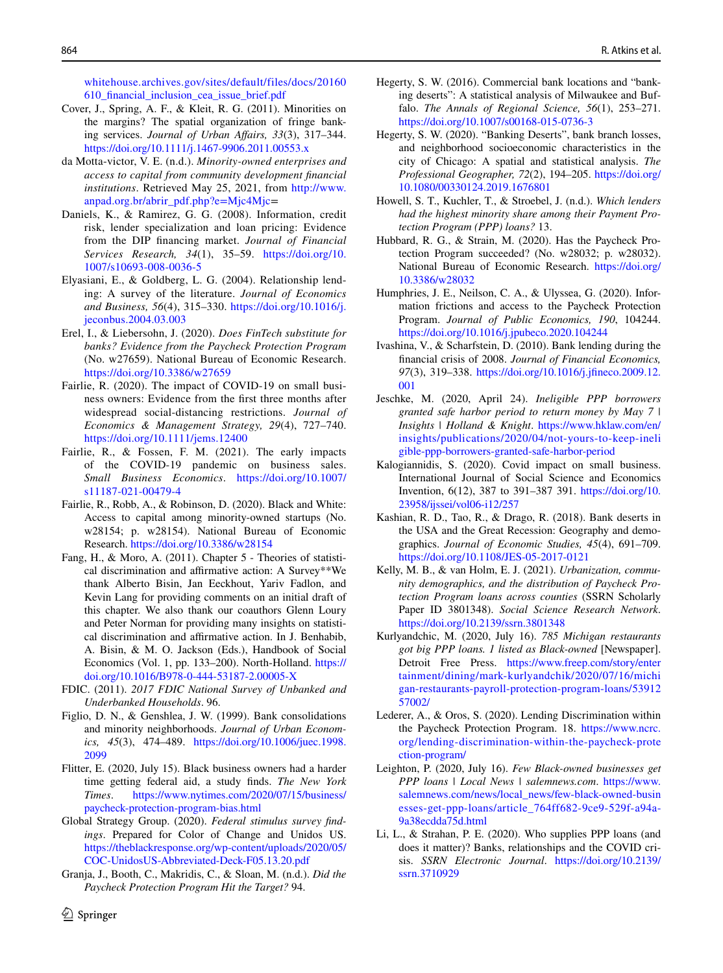[whitehouse.archives.gov/sites/default/files/docs/20160](https://obamawhitehouse.archives.gov/sites/default/files/docs/20160610_financial_inclusion_cea_issue_brief.pdf) [610\\_fnancial\\_inclusion\\_cea\\_issue\\_brief.pdf](https://obamawhitehouse.archives.gov/sites/default/files/docs/20160610_financial_inclusion_cea_issue_brief.pdf)

- Cover, J., Spring, A. F., & Kleit, R. G. (2011). Minorities on the margins? The spatial organization of fringe banking services. *Journal of Urban Afairs, 33*(3), 317–344. <https://doi.org/10.1111/j.1467-9906.2011.00553.x>
- da Motta-victor, V. E. (n.d.). *Minority-owned enterprises and access to capital from community development fnancial institutions*. Retrieved May 25, 2021, from [http://www.](http://www.anpad.org.br/abrir_pdf.php?e=Mjc4Mjc) [anpad.org.br/abrir\\_pdf.php?e=Mjc4Mjc=](http://www.anpad.org.br/abrir_pdf.php?e=Mjc4Mjc)
- <span id="page-21-17"></span>Daniels, K., & Ramirez, G. G. (2008). Information, credit risk, lender specialization and loan pricing: Evidence from the DIP fnancing market. *Journal of Financial Services Research, 34*(1), 35–59. [https://doi.org/10.](https://doi.org/10.1007/s10693-008-0036-5) [1007/s10693-008-0036-5](https://doi.org/10.1007/s10693-008-0036-5)
- <span id="page-21-14"></span>Elyasiani, E., & Goldberg, L. G. (2004). Relationship lending: A survey of the literature. *Journal of Economics and Business, 56*(4), 315–330. [https://doi.org/10.1016/j.](https://doi.org/10.1016/j.jeconbus.2004.03.003) [jeconbus.2004.03.003](https://doi.org/10.1016/j.jeconbus.2004.03.003)
- <span id="page-21-16"></span>Erel, I., & Liebersohn, J. (2020). *Does FinTech substitute for banks? Evidence from the Paycheck Protection Program* (No. w27659). National Bureau of Economic Research. <https://doi.org/10.3386/w27659>
- <span id="page-21-2"></span>Fairlie, R. (2020). The impact of COVID-19 on small business owners: Evidence from the frst three months after widespread social-distancing restrictions. *Journal of Economics & Management Strategy, 29*(4), 727–740. <https://doi.org/10.1111/jems.12400>
- <span id="page-21-3"></span>Fairlie, R., & Fossen, F. M. (2021). The early impacts of the COVID-19 pandemic on business sales. *Small Business Economics*. [https://doi.org/10.1007/](https://doi.org/10.1007/s11187-021-00479-4) [s11187-021-00479-4](https://doi.org/10.1007/s11187-021-00479-4)
- <span id="page-21-9"></span>Fairlie, R., Robb, A., & Robinson, D. (2020). Black and White: Access to capital among minority-owned startups (No. w28154; p. w28154). National Bureau of Economic Research. <https://doi.org/10.3386/w28154>
- Fang, H., & Moro, A. (2011). Chapter 5 Theories of statistical discrimination and affirmative action: A Survey\*\*We thank Alberto Bisin, Jan Eeckhout, Yariv Fadlon, and Kevin Lang for providing comments on an initial draft of this chapter. We also thank our coauthors Glenn Loury and Peter Norman for providing many insights on statistical discrimination and affirmative action. In J. Benhabib, A. Bisin, & M. O. Jackson (Eds.), Handbook of Social Economics (Vol. 1, pp. 133–200). North-Holland. [https://](https://doi.org/10.1016/B978-0-444-53187-2.00005-X) [doi.org/10.1016/B978-0-444-53187-2.00005-X](https://doi.org/10.1016/B978-0-444-53187-2.00005-X)
- FDIC. (2011). *2017 FDIC National Survey of Unbanked and Underbanked Households*. 96.
- Figlio, D. N., & Genshlea, J. W. (1999). Bank consolidations and minority neighborhoods. *Journal of Urban Economics, 45*(3), 474–489. [https://doi.org/10.1006/juec.1998.](https://doi.org/10.1006/juec.1998.2099) [2099](https://doi.org/10.1006/juec.1998.2099)
- <span id="page-21-6"></span>Flitter, E. (2020, July 15). Black business owners had a harder time getting federal aid, a study fnds. *The New York Times*. [https://www.nytimes.com/2020/07/15/business/](https://www.nytimes.com/2020/07/15/business/paycheck-protection-program-bias.html) [paycheck-protection-program-bias.html](https://www.nytimes.com/2020/07/15/business/paycheck-protection-program-bias.html)
- <span id="page-21-0"></span>Global Strategy Group. (2020). *Federal stimulus survey fndings*. Prepared for Color of Change and Unidos US. [https://theblackresponse.org/wp-content/uploads/2020/05/](https://theblackresponse.org/wp-content/uploads/2020/05/COC-UnidosUS-Abbreviated-Deck-F05.13.20.pdf) [COC-UnidosUS-Abbreviated-Deck-F05.13.20.pdf](https://theblackresponse.org/wp-content/uploads/2020/05/COC-UnidosUS-Abbreviated-Deck-F05.13.20.pdf)
- Granja, J., Booth, C., Makridis, C., & Sloan, M. (n.d.). *Did the Paycheck Protection Program Hit the Target?* 94.
- <span id="page-21-12"></span><span id="page-21-11"></span>Hegerty, S. W. (2020). "Banking Deserts", bank branch losses, and neighborhood socioeconomic characteristics in the city of Chicago: A spatial and statistical analysis. *The Professional Geographer, 72*(2), 194–205. [https://doi.org/](https://doi.org/10.1080/00330124.2019.1676801) [10.1080/00330124.2019.1676801](https://doi.org/10.1080/00330124.2019.1676801)
- Howell, S. T., Kuchler, T., & Stroebel, J. (n.d.). *Which lenders had the highest minority share among their Payment Protection Program (PPP) loans?* 13.
- <span id="page-21-4"></span>Hubbard, R. G., & Strain, M. (2020). Has the Paycheck Protection Program succeeded? (No. w28032; p. w28032). National Bureau of Economic Research. [https://doi.org/](https://doi.org/10.3386/w28032) [10.3386/w28032](https://doi.org/10.3386/w28032)
- <span id="page-21-1"></span>Humphries, J. E., Neilson, C. A., & Ulyssea, G. (2020). Information frictions and access to the Paycheck Protection Program. *Journal of Public Economics, 190*, 104244. <https://doi.org/10.1016/j.jpubeco.2020.104244>
- Ivashina, V., & Scharfstein, D. (2010). Bank lending during the fnancial crisis of 2008. *Journal of Financial Economics, 97*(3), 319–338. [https://doi.org/10.1016/j.jfneco.2009.12.](https://doi.org/10.1016/j.jfineco.2009.12.001) [001](https://doi.org/10.1016/j.jfineco.2009.12.001)
- Jeschke, M. (2020, April 24). *Ineligible PPP borrowers granted safe harbor period to return money by May 7 | Insights | Holland & Knight*. [https://www.hklaw.com/en/](https://www.hklaw.com/en/insights/publications/2020/04/not-yours-to-keep-ineligible-ppp-borrowers-granted-safe-harbor-period) [insights/publications/2020/04/not-yours-to-keep-ineli](https://www.hklaw.com/en/insights/publications/2020/04/not-yours-to-keep-ineligible-ppp-borrowers-granted-safe-harbor-period) [gible-ppp-borrowers-granted-safe-harbor-period](https://www.hklaw.com/en/insights/publications/2020/04/not-yours-to-keep-ineligible-ppp-borrowers-granted-safe-harbor-period)
- <span id="page-21-5"></span>Kalogiannidis, S. (2020). Covid impact on small business. International Journal of Social Science and Economics Invention, 6(12), 387 to 391–387 391. [https://doi.org/10.](https://doi.org/10.23958/ijssei/vol06-i12/257) [23958/ijssei/vol06-i12/257](https://doi.org/10.23958/ijssei/vol06-i12/257)
- <span id="page-21-13"></span>Kashian, R. D., Tao, R., & Drago, R. (2018). Bank deserts in the USA and the Great Recession: Geography and demographics. *Journal of Economic Studies, 45*(4), 691–709. <https://doi.org/10.1108/JES-05-2017-0121>
- Kelly, M. B., & van Holm, E. J. (2021). *Urbanization, community demographics, and the distribution of Paycheck Protection Program loans across counties* (SSRN Scholarly Paper ID 3801348). *Social Science Research Network*. <https://doi.org/10.2139/ssrn.3801348>
- <span id="page-21-7"></span>Kurlyandchic, M. (2020, July 16). *785 Michigan restaurants got big PPP loans. 1 listed as Black-owned* [Newspaper]. Detroit Free Press. [https://www.freep.com/story/enter](https://www.freep.com/story/entertainment/dining/mark-kurlyandchik/2020/07/16/michigan-restaurants-payroll-protection-program-loans/5391257002/) [tainment/dining/mark-kurlyandchik/2020/07/16/michi](https://www.freep.com/story/entertainment/dining/mark-kurlyandchik/2020/07/16/michigan-restaurants-payroll-protection-program-loans/5391257002/) [gan-restaurants-payroll-protection-program-loans/53912](https://www.freep.com/story/entertainment/dining/mark-kurlyandchik/2020/07/16/michigan-restaurants-payroll-protection-program-loans/5391257002/) [57002/](https://www.freep.com/story/entertainment/dining/mark-kurlyandchik/2020/07/16/michigan-restaurants-payroll-protection-program-loans/5391257002/)
- <span id="page-21-10"></span>Lederer, A., & Oros, S. (2020). Lending Discrimination within the Paycheck Protection Program. 18. [https://www.ncrc.](https://www.ncrc.org/lending-discrimination-within-the-paycheck-protection-program/) [org/lending-discrimination-within-the-paycheck-prote](https://www.ncrc.org/lending-discrimination-within-the-paycheck-protection-program/) [ction-program/](https://www.ncrc.org/lending-discrimination-within-the-paycheck-protection-program/)
- <span id="page-21-8"></span>Leighton, P. (2020, July 16). *Few Black-owned businesses get PPP loans | Local News | salemnews.com*. [https://www.](https://www.salemnews.com/news/local_news/few-black-owned-businesses-get-ppp-loans/article_764ff682-9ce9-529f-a94a-9a38ecdda75d.html) [salemnews.com/news/local\\_news/few-black-owned-busin](https://www.salemnews.com/news/local_news/few-black-owned-businesses-get-ppp-loans/article_764ff682-9ce9-529f-a94a-9a38ecdda75d.html) [esses-get-ppp-loans/article\\_764ff682-9ce9-529f-a94a-](https://www.salemnews.com/news/local_news/few-black-owned-businesses-get-ppp-loans/article_764ff682-9ce9-529f-a94a-9a38ecdda75d.html)[9a38ecdda75d.html](https://www.salemnews.com/news/local_news/few-black-owned-businesses-get-ppp-loans/article_764ff682-9ce9-529f-a94a-9a38ecdda75d.html)
- <span id="page-21-15"></span>Li, L., & Strahan, P. E. (2020). Who supplies PPP loans (and does it matter)? Banks, relationships and the COVID crisis. *SSRN Electronic Journal*. [https://doi.org/10.2139/](https://doi.org/10.2139/ssrn.3710929) [ssrn.3710929](https://doi.org/10.2139/ssrn.3710929)